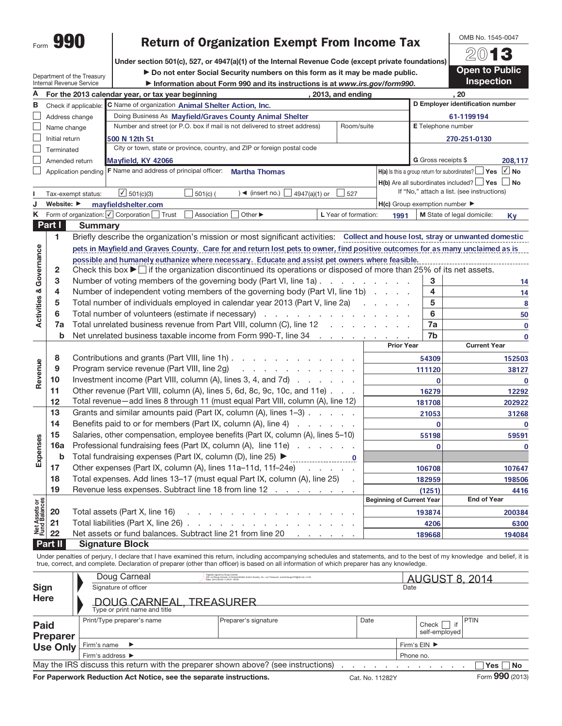|      | ı. |
|------|----|
| Form |    |

# Return of Organization Exempt From Income Tax

Under section 501(c), 527, or 4947(a)(1) of the Internal Revenue Code (except private foundations)

Department of the Treasury Internal Revenue Service

 $\triangleright$  Do not enter Social Security numbers on this form as it may be made public. a Information about Form 990 and its instructions is at www.irs.gov/form990.



OMB No. 1545-0047

| Α<br>. 20<br>For the 2013 calendar year, or tax year beginning<br>, 2013, and ending<br>D Employer identification number<br>C Name of organization Animal Shelter Action, Inc.<br>в<br>Check if applicable:<br>Doing Business As Mayfield/Graves County Animal Shelter<br>Address change<br>61-1199194<br>Number and street (or P.O. box if mail is not delivered to street address)<br>E Telephone number<br>Room/suite<br>Name change<br>500 N 12th St<br>270-251-0130<br>Initial return<br>City or town, state or province, country, and ZIP or foreign postal code<br>Terminated<br>G Gross receipts \$<br>Mayfield, KY 42066<br>Amended return<br>208,117<br>F Name and address of principal officer:<br>$H(a)$ is this a group return for subordinates? $\Box$ Yes $\Box$ No<br><b>Martha Thomas</b><br>Application pending<br>$H(b)$ Are all subordinates included? $\Box$ Yes $\Box$ No<br>If "No," attach a list. (see instructions)<br>$\sqrt{501(c)(3)}$<br>$\Box$ 501(c) (<br>$\rightarrow$ (insert no.) $\Box$ 4947(a)(1) or<br>$\Box$ 527<br>Tax-exempt status:<br>Website: $\blacktriangleright$<br>mayfieldshelter.com<br>$H(c)$ Group exemption number $\blacktriangleright$<br>Κ<br>Form of organization: <i>[ Corporation</i> [<br>Association<br>Other ▶<br>Trust<br>L Year of formation:<br>M State of legal domicile:<br>1991<br>Kγ<br><b>Part I</b><br><b>Summary</b><br>1.<br>Briefly describe the organization's mission or most significant activities: Collect and house lost, stray or unwanted domestic<br>Activities & Governance<br>pets in Mayfield and Graves County. Care for and return lost pets to owner, find positive outcomes for as many unclaimed as is<br>possible and humanely euthanize where necessary. Educate and assist pet owners where feasible.<br>Check this box ► if the organization discontinued its operations or disposed of more than 25% of its net assets.<br>2<br>3<br>3<br>Number of voting members of the governing body (Part VI, line 1a).<br>the contract of the contract<br>14<br>4<br>Number of independent voting members of the governing body (Part VI, line 1b)<br>4<br>14<br>5<br>5<br>Total number of individuals employed in calendar year 2013 (Part V, line 2a)<br>8<br>6<br>6<br>Total number of volunteers (estimate if necessary)<br>50<br>7a<br>Total unrelated business revenue from Part VIII, column (C), line 12<br>7a<br>$\mathbf 0$<br>Net unrelated business taxable income from Form 990-T, line 34 manufactured business taxable income from 990-T, line 34<br>$\mathbf b$<br>7b<br>0<br><b>Prior Year</b><br><b>Current Year</b><br>8<br>Contributions and grants (Part VIII, line 1h)<br>54309<br>152503<br>Revenue<br>Program service revenue (Part VIII, line 2g)<br>9<br>and a straight and a straight and<br>111120<br>38127<br>Investment income (Part VIII, column (A), lines 3, 4, and 7d)<br>10<br>$\mathbf{0}$<br>$\mathbf 0$<br>11<br>Other revenue (Part VIII, column (A), lines 5, 6d, 8c, 9c, 10c, and 11e)<br>16279<br>12292<br>Total revenue-add lines 8 through 11 (must equal Part VIII, column (A), line 12)<br>12<br>181708<br>202922<br>13<br>Grants and similar amounts paid (Part IX, column (A), lines 1-3)<br>21053<br>31268<br>14<br>Benefits paid to or for members (Part IX, column (A), line 4)<br>$\mathbf 0$<br>$\mathbf 0$<br>15<br>Salaries, other compensation, employee benefits (Part IX, column (A), lines 5-10)<br>55198<br>59591<br>Expenses<br>16a<br>Professional fundraising fees (Part IX, column (A), line 11e)<br>0<br>$\bf{0}$<br>$\mathbf b$<br>Total fundraising expenses (Part IX, column (D), line 25) ▶<br>Other expenses (Part IX, column (A), lines 11a-11d, 11f-24e)<br>17<br>106708<br>107647<br>Total expenses. Add lines 13-17 (must equal Part IX, column (A), line 25)<br>18<br>182959<br>198506<br>19<br>Revenue less expenses. Subtract line 18 from line 12<br>(1251)<br>4416<br><b>Beginning of Current Year</b><br><b>End of Year</b><br>Net Assets or<br>Fund Balances<br>20<br>Total assets (Part X, line 16)<br>193874<br>200384<br>21<br>Total liabilities (Part X, line 26)<br>4206<br>6300<br>and the control of the con- |    | <u>ilileridi neveriye əliyice</u> | $\blacktriangleright$ information about Form 990 and its instructions is at www.irs.gov/form990. |  |        |        |  |  |  |
|---------------------------------------------------------------------------------------------------------------------------------------------------------------------------------------------------------------------------------------------------------------------------------------------------------------------------------------------------------------------------------------------------------------------------------------------------------------------------------------------------------------------------------------------------------------------------------------------------------------------------------------------------------------------------------------------------------------------------------------------------------------------------------------------------------------------------------------------------------------------------------------------------------------------------------------------------------------------------------------------------------------------------------------------------------------------------------------------------------------------------------------------------------------------------------------------------------------------------------------------------------------------------------------------------------------------------------------------------------------------------------------------------------------------------------------------------------------------------------------------------------------------------------------------------------------------------------------------------------------------------------------------------------------------------------------------------------------------------------------------------------------------------------------------------------------------------------------------------------------------------------------------------------------------------------------------------------------------------------------------------------------------------------------------------------------------------------------------------------------------------------------------------------------------------------------------------------------------------------------------------------------------------------------------------------------------------------------------------------------------------------------------------------------------------------------------------------------------------------------------------------------------------------------------------------------------------------------------------------------------------------------------------------------------------------------------------------------------------------------------------------------------------------------------------------------------------------------------------------------------------------------------------------------------------------------------------------------------------------------------------------------------------------------------------------------------------------------------------------------------------------------------------------------------------------------------------------------------------------------------------------------------------------------------------------------------------------------------------------------------------------------------------------------------------------------------------------------------------------------------------------------------------------------------------------------------------------------------------------------------------------------------------------------------------------------------------------------------------------------------------------------------------------------------------------------------------------------------------------------------------------------------------------------------------------------------------------------------------------------------------------------------------------------------------------------------------------------------------------------------------------------------------------------------------------------------|----|-----------------------------------|--------------------------------------------------------------------------------------------------|--|--------|--------|--|--|--|
|                                                                                                                                                                                                                                                                                                                                                                                                                                                                                                                                                                                                                                                                                                                                                                                                                                                                                                                                                                                                                                                                                                                                                                                                                                                                                                                                                                                                                                                                                                                                                                                                                                                                                                                                                                                                                                                                                                                                                                                                                                                                                                                                                                                                                                                                                                                                                                                                                                                                                                                                                                                                                                                                                                                                                                                                                                                                                                                                                                                                                                                                                                                                                                                                                                                                                                                                                                                                                                                                                                                                                                                                                                                                                                                                                                                                                                                                                                                                                                                                                                                                                                                                                                                             |    |                                   |                                                                                                  |  |        |        |  |  |  |
|                                                                                                                                                                                                                                                                                                                                                                                                                                                                                                                                                                                                                                                                                                                                                                                                                                                                                                                                                                                                                                                                                                                                                                                                                                                                                                                                                                                                                                                                                                                                                                                                                                                                                                                                                                                                                                                                                                                                                                                                                                                                                                                                                                                                                                                                                                                                                                                                                                                                                                                                                                                                                                                                                                                                                                                                                                                                                                                                                                                                                                                                                                                                                                                                                                                                                                                                                                                                                                                                                                                                                                                                                                                                                                                                                                                                                                                                                                                                                                                                                                                                                                                                                                                             |    |                                   |                                                                                                  |  |        |        |  |  |  |
|                                                                                                                                                                                                                                                                                                                                                                                                                                                                                                                                                                                                                                                                                                                                                                                                                                                                                                                                                                                                                                                                                                                                                                                                                                                                                                                                                                                                                                                                                                                                                                                                                                                                                                                                                                                                                                                                                                                                                                                                                                                                                                                                                                                                                                                                                                                                                                                                                                                                                                                                                                                                                                                                                                                                                                                                                                                                                                                                                                                                                                                                                                                                                                                                                                                                                                                                                                                                                                                                                                                                                                                                                                                                                                                                                                                                                                                                                                                                                                                                                                                                                                                                                                                             |    |                                   |                                                                                                  |  |        |        |  |  |  |
|                                                                                                                                                                                                                                                                                                                                                                                                                                                                                                                                                                                                                                                                                                                                                                                                                                                                                                                                                                                                                                                                                                                                                                                                                                                                                                                                                                                                                                                                                                                                                                                                                                                                                                                                                                                                                                                                                                                                                                                                                                                                                                                                                                                                                                                                                                                                                                                                                                                                                                                                                                                                                                                                                                                                                                                                                                                                                                                                                                                                                                                                                                                                                                                                                                                                                                                                                                                                                                                                                                                                                                                                                                                                                                                                                                                                                                                                                                                                                                                                                                                                                                                                                                                             |    |                                   |                                                                                                  |  |        |        |  |  |  |
|                                                                                                                                                                                                                                                                                                                                                                                                                                                                                                                                                                                                                                                                                                                                                                                                                                                                                                                                                                                                                                                                                                                                                                                                                                                                                                                                                                                                                                                                                                                                                                                                                                                                                                                                                                                                                                                                                                                                                                                                                                                                                                                                                                                                                                                                                                                                                                                                                                                                                                                                                                                                                                                                                                                                                                                                                                                                                                                                                                                                                                                                                                                                                                                                                                                                                                                                                                                                                                                                                                                                                                                                                                                                                                                                                                                                                                                                                                                                                                                                                                                                                                                                                                                             |    |                                   |                                                                                                  |  |        |        |  |  |  |
|                                                                                                                                                                                                                                                                                                                                                                                                                                                                                                                                                                                                                                                                                                                                                                                                                                                                                                                                                                                                                                                                                                                                                                                                                                                                                                                                                                                                                                                                                                                                                                                                                                                                                                                                                                                                                                                                                                                                                                                                                                                                                                                                                                                                                                                                                                                                                                                                                                                                                                                                                                                                                                                                                                                                                                                                                                                                                                                                                                                                                                                                                                                                                                                                                                                                                                                                                                                                                                                                                                                                                                                                                                                                                                                                                                                                                                                                                                                                                                                                                                                                                                                                                                                             |    |                                   |                                                                                                  |  |        |        |  |  |  |
|                                                                                                                                                                                                                                                                                                                                                                                                                                                                                                                                                                                                                                                                                                                                                                                                                                                                                                                                                                                                                                                                                                                                                                                                                                                                                                                                                                                                                                                                                                                                                                                                                                                                                                                                                                                                                                                                                                                                                                                                                                                                                                                                                                                                                                                                                                                                                                                                                                                                                                                                                                                                                                                                                                                                                                                                                                                                                                                                                                                                                                                                                                                                                                                                                                                                                                                                                                                                                                                                                                                                                                                                                                                                                                                                                                                                                                                                                                                                                                                                                                                                                                                                                                                             |    |                                   |                                                                                                  |  |        |        |  |  |  |
|                                                                                                                                                                                                                                                                                                                                                                                                                                                                                                                                                                                                                                                                                                                                                                                                                                                                                                                                                                                                                                                                                                                                                                                                                                                                                                                                                                                                                                                                                                                                                                                                                                                                                                                                                                                                                                                                                                                                                                                                                                                                                                                                                                                                                                                                                                                                                                                                                                                                                                                                                                                                                                                                                                                                                                                                                                                                                                                                                                                                                                                                                                                                                                                                                                                                                                                                                                                                                                                                                                                                                                                                                                                                                                                                                                                                                                                                                                                                                                                                                                                                                                                                                                                             |    |                                   |                                                                                                  |  |        |        |  |  |  |
|                                                                                                                                                                                                                                                                                                                                                                                                                                                                                                                                                                                                                                                                                                                                                                                                                                                                                                                                                                                                                                                                                                                                                                                                                                                                                                                                                                                                                                                                                                                                                                                                                                                                                                                                                                                                                                                                                                                                                                                                                                                                                                                                                                                                                                                                                                                                                                                                                                                                                                                                                                                                                                                                                                                                                                                                                                                                                                                                                                                                                                                                                                                                                                                                                                                                                                                                                                                                                                                                                                                                                                                                                                                                                                                                                                                                                                                                                                                                                                                                                                                                                                                                                                                             |    |                                   |                                                                                                  |  |        |        |  |  |  |
|                                                                                                                                                                                                                                                                                                                                                                                                                                                                                                                                                                                                                                                                                                                                                                                                                                                                                                                                                                                                                                                                                                                                                                                                                                                                                                                                                                                                                                                                                                                                                                                                                                                                                                                                                                                                                                                                                                                                                                                                                                                                                                                                                                                                                                                                                                                                                                                                                                                                                                                                                                                                                                                                                                                                                                                                                                                                                                                                                                                                                                                                                                                                                                                                                                                                                                                                                                                                                                                                                                                                                                                                                                                                                                                                                                                                                                                                                                                                                                                                                                                                                                                                                                                             |    |                                   |                                                                                                  |  |        |        |  |  |  |
|                                                                                                                                                                                                                                                                                                                                                                                                                                                                                                                                                                                                                                                                                                                                                                                                                                                                                                                                                                                                                                                                                                                                                                                                                                                                                                                                                                                                                                                                                                                                                                                                                                                                                                                                                                                                                                                                                                                                                                                                                                                                                                                                                                                                                                                                                                                                                                                                                                                                                                                                                                                                                                                                                                                                                                                                                                                                                                                                                                                                                                                                                                                                                                                                                                                                                                                                                                                                                                                                                                                                                                                                                                                                                                                                                                                                                                                                                                                                                                                                                                                                                                                                                                                             |    |                                   |                                                                                                  |  |        |        |  |  |  |
|                                                                                                                                                                                                                                                                                                                                                                                                                                                                                                                                                                                                                                                                                                                                                                                                                                                                                                                                                                                                                                                                                                                                                                                                                                                                                                                                                                                                                                                                                                                                                                                                                                                                                                                                                                                                                                                                                                                                                                                                                                                                                                                                                                                                                                                                                                                                                                                                                                                                                                                                                                                                                                                                                                                                                                                                                                                                                                                                                                                                                                                                                                                                                                                                                                                                                                                                                                                                                                                                                                                                                                                                                                                                                                                                                                                                                                                                                                                                                                                                                                                                                                                                                                                             |    |                                   |                                                                                                  |  |        |        |  |  |  |
|                                                                                                                                                                                                                                                                                                                                                                                                                                                                                                                                                                                                                                                                                                                                                                                                                                                                                                                                                                                                                                                                                                                                                                                                                                                                                                                                                                                                                                                                                                                                                                                                                                                                                                                                                                                                                                                                                                                                                                                                                                                                                                                                                                                                                                                                                                                                                                                                                                                                                                                                                                                                                                                                                                                                                                                                                                                                                                                                                                                                                                                                                                                                                                                                                                                                                                                                                                                                                                                                                                                                                                                                                                                                                                                                                                                                                                                                                                                                                                                                                                                                                                                                                                                             |    |                                   |                                                                                                  |  |        |        |  |  |  |
|                                                                                                                                                                                                                                                                                                                                                                                                                                                                                                                                                                                                                                                                                                                                                                                                                                                                                                                                                                                                                                                                                                                                                                                                                                                                                                                                                                                                                                                                                                                                                                                                                                                                                                                                                                                                                                                                                                                                                                                                                                                                                                                                                                                                                                                                                                                                                                                                                                                                                                                                                                                                                                                                                                                                                                                                                                                                                                                                                                                                                                                                                                                                                                                                                                                                                                                                                                                                                                                                                                                                                                                                                                                                                                                                                                                                                                                                                                                                                                                                                                                                                                                                                                                             |    |                                   |                                                                                                  |  |        |        |  |  |  |
|                                                                                                                                                                                                                                                                                                                                                                                                                                                                                                                                                                                                                                                                                                                                                                                                                                                                                                                                                                                                                                                                                                                                                                                                                                                                                                                                                                                                                                                                                                                                                                                                                                                                                                                                                                                                                                                                                                                                                                                                                                                                                                                                                                                                                                                                                                                                                                                                                                                                                                                                                                                                                                                                                                                                                                                                                                                                                                                                                                                                                                                                                                                                                                                                                                                                                                                                                                                                                                                                                                                                                                                                                                                                                                                                                                                                                                                                                                                                                                                                                                                                                                                                                                                             |    |                                   |                                                                                                  |  |        |        |  |  |  |
|                                                                                                                                                                                                                                                                                                                                                                                                                                                                                                                                                                                                                                                                                                                                                                                                                                                                                                                                                                                                                                                                                                                                                                                                                                                                                                                                                                                                                                                                                                                                                                                                                                                                                                                                                                                                                                                                                                                                                                                                                                                                                                                                                                                                                                                                                                                                                                                                                                                                                                                                                                                                                                                                                                                                                                                                                                                                                                                                                                                                                                                                                                                                                                                                                                                                                                                                                                                                                                                                                                                                                                                                                                                                                                                                                                                                                                                                                                                                                                                                                                                                                                                                                                                             |    |                                   |                                                                                                  |  |        |        |  |  |  |
|                                                                                                                                                                                                                                                                                                                                                                                                                                                                                                                                                                                                                                                                                                                                                                                                                                                                                                                                                                                                                                                                                                                                                                                                                                                                                                                                                                                                                                                                                                                                                                                                                                                                                                                                                                                                                                                                                                                                                                                                                                                                                                                                                                                                                                                                                                                                                                                                                                                                                                                                                                                                                                                                                                                                                                                                                                                                                                                                                                                                                                                                                                                                                                                                                                                                                                                                                                                                                                                                                                                                                                                                                                                                                                                                                                                                                                                                                                                                                                                                                                                                                                                                                                                             |    |                                   |                                                                                                  |  |        |        |  |  |  |
|                                                                                                                                                                                                                                                                                                                                                                                                                                                                                                                                                                                                                                                                                                                                                                                                                                                                                                                                                                                                                                                                                                                                                                                                                                                                                                                                                                                                                                                                                                                                                                                                                                                                                                                                                                                                                                                                                                                                                                                                                                                                                                                                                                                                                                                                                                                                                                                                                                                                                                                                                                                                                                                                                                                                                                                                                                                                                                                                                                                                                                                                                                                                                                                                                                                                                                                                                                                                                                                                                                                                                                                                                                                                                                                                                                                                                                                                                                                                                                                                                                                                                                                                                                                             |    |                                   |                                                                                                  |  |        |        |  |  |  |
|                                                                                                                                                                                                                                                                                                                                                                                                                                                                                                                                                                                                                                                                                                                                                                                                                                                                                                                                                                                                                                                                                                                                                                                                                                                                                                                                                                                                                                                                                                                                                                                                                                                                                                                                                                                                                                                                                                                                                                                                                                                                                                                                                                                                                                                                                                                                                                                                                                                                                                                                                                                                                                                                                                                                                                                                                                                                                                                                                                                                                                                                                                                                                                                                                                                                                                                                                                                                                                                                                                                                                                                                                                                                                                                                                                                                                                                                                                                                                                                                                                                                                                                                                                                             |    |                                   |                                                                                                  |  |        |        |  |  |  |
|                                                                                                                                                                                                                                                                                                                                                                                                                                                                                                                                                                                                                                                                                                                                                                                                                                                                                                                                                                                                                                                                                                                                                                                                                                                                                                                                                                                                                                                                                                                                                                                                                                                                                                                                                                                                                                                                                                                                                                                                                                                                                                                                                                                                                                                                                                                                                                                                                                                                                                                                                                                                                                                                                                                                                                                                                                                                                                                                                                                                                                                                                                                                                                                                                                                                                                                                                                                                                                                                                                                                                                                                                                                                                                                                                                                                                                                                                                                                                                                                                                                                                                                                                                                             |    |                                   |                                                                                                  |  |        |        |  |  |  |
|                                                                                                                                                                                                                                                                                                                                                                                                                                                                                                                                                                                                                                                                                                                                                                                                                                                                                                                                                                                                                                                                                                                                                                                                                                                                                                                                                                                                                                                                                                                                                                                                                                                                                                                                                                                                                                                                                                                                                                                                                                                                                                                                                                                                                                                                                                                                                                                                                                                                                                                                                                                                                                                                                                                                                                                                                                                                                                                                                                                                                                                                                                                                                                                                                                                                                                                                                                                                                                                                                                                                                                                                                                                                                                                                                                                                                                                                                                                                                                                                                                                                                                                                                                                             |    |                                   |                                                                                                  |  |        |        |  |  |  |
|                                                                                                                                                                                                                                                                                                                                                                                                                                                                                                                                                                                                                                                                                                                                                                                                                                                                                                                                                                                                                                                                                                                                                                                                                                                                                                                                                                                                                                                                                                                                                                                                                                                                                                                                                                                                                                                                                                                                                                                                                                                                                                                                                                                                                                                                                                                                                                                                                                                                                                                                                                                                                                                                                                                                                                                                                                                                                                                                                                                                                                                                                                                                                                                                                                                                                                                                                                                                                                                                                                                                                                                                                                                                                                                                                                                                                                                                                                                                                                                                                                                                                                                                                                                             |    |                                   |                                                                                                  |  |        |        |  |  |  |
|                                                                                                                                                                                                                                                                                                                                                                                                                                                                                                                                                                                                                                                                                                                                                                                                                                                                                                                                                                                                                                                                                                                                                                                                                                                                                                                                                                                                                                                                                                                                                                                                                                                                                                                                                                                                                                                                                                                                                                                                                                                                                                                                                                                                                                                                                                                                                                                                                                                                                                                                                                                                                                                                                                                                                                                                                                                                                                                                                                                                                                                                                                                                                                                                                                                                                                                                                                                                                                                                                                                                                                                                                                                                                                                                                                                                                                                                                                                                                                                                                                                                                                                                                                                             |    |                                   |                                                                                                  |  |        |        |  |  |  |
|                                                                                                                                                                                                                                                                                                                                                                                                                                                                                                                                                                                                                                                                                                                                                                                                                                                                                                                                                                                                                                                                                                                                                                                                                                                                                                                                                                                                                                                                                                                                                                                                                                                                                                                                                                                                                                                                                                                                                                                                                                                                                                                                                                                                                                                                                                                                                                                                                                                                                                                                                                                                                                                                                                                                                                                                                                                                                                                                                                                                                                                                                                                                                                                                                                                                                                                                                                                                                                                                                                                                                                                                                                                                                                                                                                                                                                                                                                                                                                                                                                                                                                                                                                                             |    |                                   |                                                                                                  |  |        |        |  |  |  |
|                                                                                                                                                                                                                                                                                                                                                                                                                                                                                                                                                                                                                                                                                                                                                                                                                                                                                                                                                                                                                                                                                                                                                                                                                                                                                                                                                                                                                                                                                                                                                                                                                                                                                                                                                                                                                                                                                                                                                                                                                                                                                                                                                                                                                                                                                                                                                                                                                                                                                                                                                                                                                                                                                                                                                                                                                                                                                                                                                                                                                                                                                                                                                                                                                                                                                                                                                                                                                                                                                                                                                                                                                                                                                                                                                                                                                                                                                                                                                                                                                                                                                                                                                                                             |    |                                   |                                                                                                  |  |        |        |  |  |  |
|                                                                                                                                                                                                                                                                                                                                                                                                                                                                                                                                                                                                                                                                                                                                                                                                                                                                                                                                                                                                                                                                                                                                                                                                                                                                                                                                                                                                                                                                                                                                                                                                                                                                                                                                                                                                                                                                                                                                                                                                                                                                                                                                                                                                                                                                                                                                                                                                                                                                                                                                                                                                                                                                                                                                                                                                                                                                                                                                                                                                                                                                                                                                                                                                                                                                                                                                                                                                                                                                                                                                                                                                                                                                                                                                                                                                                                                                                                                                                                                                                                                                                                                                                                                             |    |                                   |                                                                                                  |  |        |        |  |  |  |
|                                                                                                                                                                                                                                                                                                                                                                                                                                                                                                                                                                                                                                                                                                                                                                                                                                                                                                                                                                                                                                                                                                                                                                                                                                                                                                                                                                                                                                                                                                                                                                                                                                                                                                                                                                                                                                                                                                                                                                                                                                                                                                                                                                                                                                                                                                                                                                                                                                                                                                                                                                                                                                                                                                                                                                                                                                                                                                                                                                                                                                                                                                                                                                                                                                                                                                                                                                                                                                                                                                                                                                                                                                                                                                                                                                                                                                                                                                                                                                                                                                                                                                                                                                                             |    |                                   |                                                                                                  |  |        |        |  |  |  |
|                                                                                                                                                                                                                                                                                                                                                                                                                                                                                                                                                                                                                                                                                                                                                                                                                                                                                                                                                                                                                                                                                                                                                                                                                                                                                                                                                                                                                                                                                                                                                                                                                                                                                                                                                                                                                                                                                                                                                                                                                                                                                                                                                                                                                                                                                                                                                                                                                                                                                                                                                                                                                                                                                                                                                                                                                                                                                                                                                                                                                                                                                                                                                                                                                                                                                                                                                                                                                                                                                                                                                                                                                                                                                                                                                                                                                                                                                                                                                                                                                                                                                                                                                                                             |    |                                   |                                                                                                  |  |        |        |  |  |  |
|                                                                                                                                                                                                                                                                                                                                                                                                                                                                                                                                                                                                                                                                                                                                                                                                                                                                                                                                                                                                                                                                                                                                                                                                                                                                                                                                                                                                                                                                                                                                                                                                                                                                                                                                                                                                                                                                                                                                                                                                                                                                                                                                                                                                                                                                                                                                                                                                                                                                                                                                                                                                                                                                                                                                                                                                                                                                                                                                                                                                                                                                                                                                                                                                                                                                                                                                                                                                                                                                                                                                                                                                                                                                                                                                                                                                                                                                                                                                                                                                                                                                                                                                                                                             |    |                                   |                                                                                                  |  |        |        |  |  |  |
|                                                                                                                                                                                                                                                                                                                                                                                                                                                                                                                                                                                                                                                                                                                                                                                                                                                                                                                                                                                                                                                                                                                                                                                                                                                                                                                                                                                                                                                                                                                                                                                                                                                                                                                                                                                                                                                                                                                                                                                                                                                                                                                                                                                                                                                                                                                                                                                                                                                                                                                                                                                                                                                                                                                                                                                                                                                                                                                                                                                                                                                                                                                                                                                                                                                                                                                                                                                                                                                                                                                                                                                                                                                                                                                                                                                                                                                                                                                                                                                                                                                                                                                                                                                             |    |                                   |                                                                                                  |  |        |        |  |  |  |
|                                                                                                                                                                                                                                                                                                                                                                                                                                                                                                                                                                                                                                                                                                                                                                                                                                                                                                                                                                                                                                                                                                                                                                                                                                                                                                                                                                                                                                                                                                                                                                                                                                                                                                                                                                                                                                                                                                                                                                                                                                                                                                                                                                                                                                                                                                                                                                                                                                                                                                                                                                                                                                                                                                                                                                                                                                                                                                                                                                                                                                                                                                                                                                                                                                                                                                                                                                                                                                                                                                                                                                                                                                                                                                                                                                                                                                                                                                                                                                                                                                                                                                                                                                                             |    |                                   |                                                                                                  |  |        |        |  |  |  |
|                                                                                                                                                                                                                                                                                                                                                                                                                                                                                                                                                                                                                                                                                                                                                                                                                                                                                                                                                                                                                                                                                                                                                                                                                                                                                                                                                                                                                                                                                                                                                                                                                                                                                                                                                                                                                                                                                                                                                                                                                                                                                                                                                                                                                                                                                                                                                                                                                                                                                                                                                                                                                                                                                                                                                                                                                                                                                                                                                                                                                                                                                                                                                                                                                                                                                                                                                                                                                                                                                                                                                                                                                                                                                                                                                                                                                                                                                                                                                                                                                                                                                                                                                                                             |    |                                   |                                                                                                  |  |        |        |  |  |  |
|                                                                                                                                                                                                                                                                                                                                                                                                                                                                                                                                                                                                                                                                                                                                                                                                                                                                                                                                                                                                                                                                                                                                                                                                                                                                                                                                                                                                                                                                                                                                                                                                                                                                                                                                                                                                                                                                                                                                                                                                                                                                                                                                                                                                                                                                                                                                                                                                                                                                                                                                                                                                                                                                                                                                                                                                                                                                                                                                                                                                                                                                                                                                                                                                                                                                                                                                                                                                                                                                                                                                                                                                                                                                                                                                                                                                                                                                                                                                                                                                                                                                                                                                                                                             |    |                                   |                                                                                                  |  |        |        |  |  |  |
|                                                                                                                                                                                                                                                                                                                                                                                                                                                                                                                                                                                                                                                                                                                                                                                                                                                                                                                                                                                                                                                                                                                                                                                                                                                                                                                                                                                                                                                                                                                                                                                                                                                                                                                                                                                                                                                                                                                                                                                                                                                                                                                                                                                                                                                                                                                                                                                                                                                                                                                                                                                                                                                                                                                                                                                                                                                                                                                                                                                                                                                                                                                                                                                                                                                                                                                                                                                                                                                                                                                                                                                                                                                                                                                                                                                                                                                                                                                                                                                                                                                                                                                                                                                             |    |                                   |                                                                                                  |  |        |        |  |  |  |
|                                                                                                                                                                                                                                                                                                                                                                                                                                                                                                                                                                                                                                                                                                                                                                                                                                                                                                                                                                                                                                                                                                                                                                                                                                                                                                                                                                                                                                                                                                                                                                                                                                                                                                                                                                                                                                                                                                                                                                                                                                                                                                                                                                                                                                                                                                                                                                                                                                                                                                                                                                                                                                                                                                                                                                                                                                                                                                                                                                                                                                                                                                                                                                                                                                                                                                                                                                                                                                                                                                                                                                                                                                                                                                                                                                                                                                                                                                                                                                                                                                                                                                                                                                                             |    |                                   |                                                                                                  |  |        |        |  |  |  |
|                                                                                                                                                                                                                                                                                                                                                                                                                                                                                                                                                                                                                                                                                                                                                                                                                                                                                                                                                                                                                                                                                                                                                                                                                                                                                                                                                                                                                                                                                                                                                                                                                                                                                                                                                                                                                                                                                                                                                                                                                                                                                                                                                                                                                                                                                                                                                                                                                                                                                                                                                                                                                                                                                                                                                                                                                                                                                                                                                                                                                                                                                                                                                                                                                                                                                                                                                                                                                                                                                                                                                                                                                                                                                                                                                                                                                                                                                                                                                                                                                                                                                                                                                                                             |    |                                   |                                                                                                  |  |        |        |  |  |  |
|                                                                                                                                                                                                                                                                                                                                                                                                                                                                                                                                                                                                                                                                                                                                                                                                                                                                                                                                                                                                                                                                                                                                                                                                                                                                                                                                                                                                                                                                                                                                                                                                                                                                                                                                                                                                                                                                                                                                                                                                                                                                                                                                                                                                                                                                                                                                                                                                                                                                                                                                                                                                                                                                                                                                                                                                                                                                                                                                                                                                                                                                                                                                                                                                                                                                                                                                                                                                                                                                                                                                                                                                                                                                                                                                                                                                                                                                                                                                                                                                                                                                                                                                                                                             |    |                                   |                                                                                                  |  |        |        |  |  |  |
|                                                                                                                                                                                                                                                                                                                                                                                                                                                                                                                                                                                                                                                                                                                                                                                                                                                                                                                                                                                                                                                                                                                                                                                                                                                                                                                                                                                                                                                                                                                                                                                                                                                                                                                                                                                                                                                                                                                                                                                                                                                                                                                                                                                                                                                                                                                                                                                                                                                                                                                                                                                                                                                                                                                                                                                                                                                                                                                                                                                                                                                                                                                                                                                                                                                                                                                                                                                                                                                                                                                                                                                                                                                                                                                                                                                                                                                                                                                                                                                                                                                                                                                                                                                             |    |                                   |                                                                                                  |  |        |        |  |  |  |
|                                                                                                                                                                                                                                                                                                                                                                                                                                                                                                                                                                                                                                                                                                                                                                                                                                                                                                                                                                                                                                                                                                                                                                                                                                                                                                                                                                                                                                                                                                                                                                                                                                                                                                                                                                                                                                                                                                                                                                                                                                                                                                                                                                                                                                                                                                                                                                                                                                                                                                                                                                                                                                                                                                                                                                                                                                                                                                                                                                                                                                                                                                                                                                                                                                                                                                                                                                                                                                                                                                                                                                                                                                                                                                                                                                                                                                                                                                                                                                                                                                                                                                                                                                                             |    |                                   |                                                                                                  |  |        |        |  |  |  |
|                                                                                                                                                                                                                                                                                                                                                                                                                                                                                                                                                                                                                                                                                                                                                                                                                                                                                                                                                                                                                                                                                                                                                                                                                                                                                                                                                                                                                                                                                                                                                                                                                                                                                                                                                                                                                                                                                                                                                                                                                                                                                                                                                                                                                                                                                                                                                                                                                                                                                                                                                                                                                                                                                                                                                                                                                                                                                                                                                                                                                                                                                                                                                                                                                                                                                                                                                                                                                                                                                                                                                                                                                                                                                                                                                                                                                                                                                                                                                                                                                                                                                                                                                                                             |    |                                   |                                                                                                  |  |        |        |  |  |  |
|                                                                                                                                                                                                                                                                                                                                                                                                                                                                                                                                                                                                                                                                                                                                                                                                                                                                                                                                                                                                                                                                                                                                                                                                                                                                                                                                                                                                                                                                                                                                                                                                                                                                                                                                                                                                                                                                                                                                                                                                                                                                                                                                                                                                                                                                                                                                                                                                                                                                                                                                                                                                                                                                                                                                                                                                                                                                                                                                                                                                                                                                                                                                                                                                                                                                                                                                                                                                                                                                                                                                                                                                                                                                                                                                                                                                                                                                                                                                                                                                                                                                                                                                                                                             | 22 |                                   | Net assets or fund balances. Subtract line 21 from line 20                                       |  | 189668 | 194084 |  |  |  |

Part II Signature Block

Under penalties of perjury, I declare that I have examined this return, including accompanying schedules and statements, and to the best of my knowledge and belief, it is true, correct, and complete. Declaration of preparer (other than officer) is based on all information of which preparer has any knowledge.

|                                                                                                    | Doug Carneal                                      | Digitally signed by Doug Carneal<br>DN: cn=Doug Carneal, o=Animal Shelter Action Society, Inc., ou=Treasurer, email=dougc270@att.net, c=US<br>Date: 2014 08:08:11:39:01 JPDF |      | <b>AUGUST 8, 2014</b>          |                                   |  |  |  |  |
|----------------------------------------------------------------------------------------------------|---------------------------------------------------|------------------------------------------------------------------------------------------------------------------------------------------------------------------------------|------|--------------------------------|-----------------------------------|--|--|--|--|
| <b>Sign</b>                                                                                        | Signature of officer                              |                                                                                                                                                                              |      | Date                           |                                   |  |  |  |  |
| <b>Here</b>                                                                                        | DOUG CARNEAL, TREASURER                           |                                                                                                                                                                              |      |                                |                                   |  |  |  |  |
|                                                                                                    | Type or print name and title                      |                                                                                                                                                                              |      |                                |                                   |  |  |  |  |
| <b>Paid</b><br><b>Preparer</b>                                                                     | Print/Type preparer's name                        | Preparer's signature                                                                                                                                                         | Date | if<br>Check  <br>self-employed | PTIN                              |  |  |  |  |
| <b>Use Only</b>                                                                                    | Firm's name $\blacktriangleright$                 | Firm's EIN ▶                                                                                                                                                                 |      |                                |                                   |  |  |  |  |
|                                                                                                    | Firm's address $\blacktriangleright$<br>Phone no. |                                                                                                                                                                              |      |                                |                                   |  |  |  |  |
| May the IRS discuss this return with the preparer shown above? (see instructions)<br>$Yes \Box No$ |                                                   |                                                                                                                                                                              |      |                                |                                   |  |  |  |  |
|                                                                                                    |                                                   |                                                                                                                                                                              |      |                                | $\overline{a}$ 000 $\overline{a}$ |  |  |  |  |

For Paperwork Reduction Act Notice, see the separate instructions. Cat. No. 11282Y Form 990 (2013)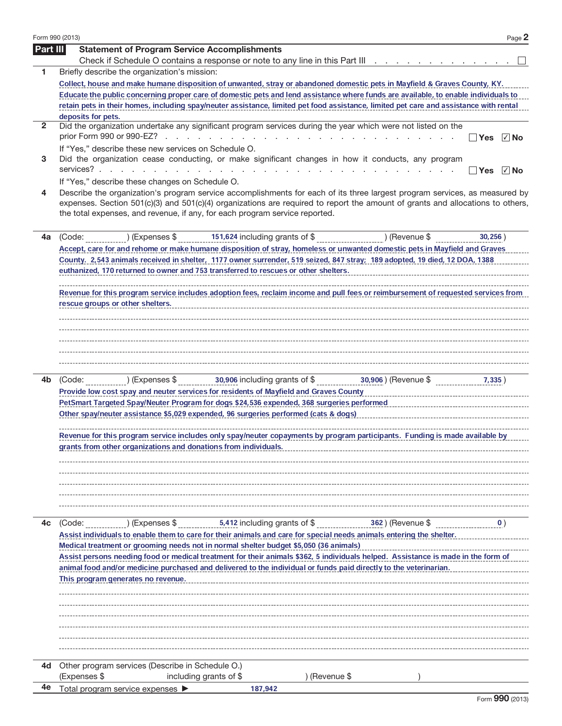|                 | Form 990 (2013)<br>Page 2                                                                                                                                                                                                                                                                                                                   |
|-----------------|---------------------------------------------------------------------------------------------------------------------------------------------------------------------------------------------------------------------------------------------------------------------------------------------------------------------------------------------|
| <b>Part III</b> | <b>Statement of Program Service Accomplishments</b>                                                                                                                                                                                                                                                                                         |
|                 | Check if Schedule O contains a response or note to any line in this Part III                                                                                                                                                                                                                                                                |
| 1               | Briefly describe the organization's mission:                                                                                                                                                                                                                                                                                                |
|                 | Collect, house and make humane disposition of unwanted, stray or abandoned domestic pets in Mayfield & Graves County, KY.<br>Educate the public concerning proper care of domestic pets and lend assistance where funds are available, to enable individuals to                                                                             |
|                 | retain pets in their homes, including spay/neuter assistance, limited pet food assistance, limited pet care and assistance with rental                                                                                                                                                                                                      |
|                 | deposits for pets.                                                                                                                                                                                                                                                                                                                          |
| 2               | Did the organization undertake any significant program services during the year which were not listed on the                                                                                                                                                                                                                                |
|                 | √ No<br>l lYes<br>If "Yes," describe these new services on Schedule O.                                                                                                                                                                                                                                                                      |
| 3               | Did the organization cease conducting, or make significant changes in how it conducts, any program                                                                                                                                                                                                                                          |
|                 |                                                                                                                                                                                                                                                                                                                                             |
|                 | If "Yes," describe these changes on Schedule O.                                                                                                                                                                                                                                                                                             |
| 4               | Describe the organization's program service accomplishments for each of its three largest program services, as measured by<br>expenses. Section 501(c)(3) and 501(c)(4) organizations are required to report the amount of grants and allocations to others,<br>the total expenses, and revenue, if any, for each program service reported. |
| 4a              | 151,624 including grants of \$<br>(Code:<br>) (Expenses \$<br>) (Revenue \$<br>30,256)                                                                                                                                                                                                                                                      |
|                 | Accept, care for and rehome or make humane disposition of stray, homeless or unwanted domestic pets in Mayfield and Graves                                                                                                                                                                                                                  |
|                 | County. 2,543 animals received in shelter, 1177 owner surrender, 519 seized, 847 stray; 189 adopted, 19 died, 12 DOA, 1388                                                                                                                                                                                                                  |
|                 | euthanized, 170 returned to owner and 753 transferred to rescues or other shelters.                                                                                                                                                                                                                                                         |
|                 | Revenue for this program service includes adoption fees, reclaim income and pull fees or reimbursement of requested services from                                                                                                                                                                                                           |
|                 | rescue groups or other shelters.                                                                                                                                                                                                                                                                                                            |
|                 |                                                                                                                                                                                                                                                                                                                                             |
|                 |                                                                                                                                                                                                                                                                                                                                             |
|                 |                                                                                                                                                                                                                                                                                                                                             |
|                 |                                                                                                                                                                                                                                                                                                                                             |
|                 |                                                                                                                                                                                                                                                                                                                                             |
|                 |                                                                                                                                                                                                                                                                                                                                             |
| 4b              | 30,906) (Revenue \$<br>(Code:<br>7,335)                                                                                                                                                                                                                                                                                                     |
|                 | Provide low cost spay and neuter services for residents of Mayfield and Graves County                                                                                                                                                                                                                                                       |
|                 | PetSmart Targeted Spay/Neuter Program for dogs \$24,536 expended, 368 surgeries performed                                                                                                                                                                                                                                                   |
|                 | Other spay/neuter assistance \$5,029 expended, 96 surgeries performed (cats & dogs)                                                                                                                                                                                                                                                         |
|                 | Revenue for this program service includes only spay/neuter copayments by program participants. Funding is made available by                                                                                                                                                                                                                 |
|                 | grants from other organizations and donations from individuals.                                                                                                                                                                                                                                                                             |
|                 |                                                                                                                                                                                                                                                                                                                                             |
|                 |                                                                                                                                                                                                                                                                                                                                             |
|                 |                                                                                                                                                                                                                                                                                                                                             |
|                 |                                                                                                                                                                                                                                                                                                                                             |
|                 |                                                                                                                                                                                                                                                                                                                                             |
|                 |                                                                                                                                                                                                                                                                                                                                             |
| 4c              | 5,412 including grants of \$<br>) (Expenses \$<br>362) (Revenue \$<br>(Code:<br>$\mathbf{0}$ )                                                                                                                                                                                                                                              |
|                 | Assist individuals to enable them to care for their animals and care for special needs animals entering the shelter.                                                                                                                                                                                                                        |
|                 | Medical treatment or grooming needs not in normal shelter budget \$5,050 (36 animals)                                                                                                                                                                                                                                                       |
|                 | Assist persons needing food or medical treatment for their animals \$362, 5 individuals helped. Assistance is made in the form of                                                                                                                                                                                                           |
|                 | animal food and/or medicine purchased and delivered to the individual or funds paid directly to the veterinarian.                                                                                                                                                                                                                           |
|                 | This program generates no revenue.                                                                                                                                                                                                                                                                                                          |
|                 |                                                                                                                                                                                                                                                                                                                                             |
|                 |                                                                                                                                                                                                                                                                                                                                             |
|                 |                                                                                                                                                                                                                                                                                                                                             |
|                 |                                                                                                                                                                                                                                                                                                                                             |
|                 |                                                                                                                                                                                                                                                                                                                                             |
|                 |                                                                                                                                                                                                                                                                                                                                             |
| 4d              | Other program services (Describe in Schedule O.)                                                                                                                                                                                                                                                                                            |
|                 | (Expenses \$<br>including grants of \$<br>) (Revenue \$                                                                                                                                                                                                                                                                                     |
| 4е              | Total program service expenses<br>187,942                                                                                                                                                                                                                                                                                                   |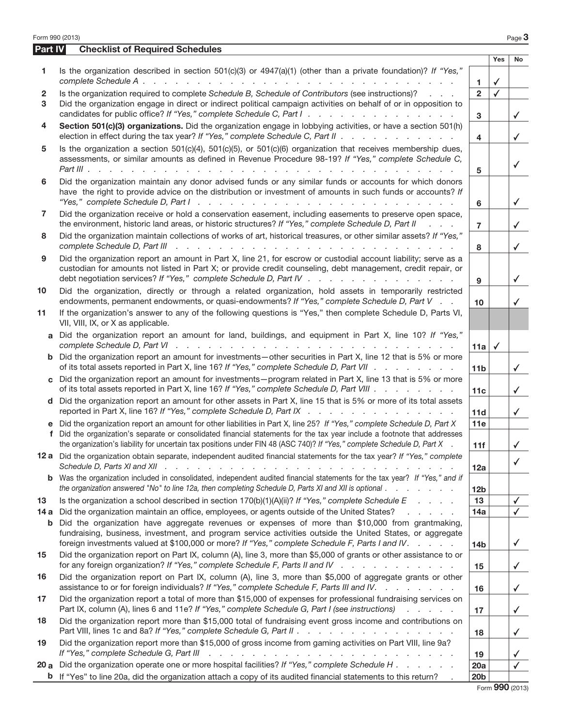|                | Form 990 (2013)                                                                                                                                                                                                                                                                                                                                                              |                        |                         | Page $3$     |
|----------------|------------------------------------------------------------------------------------------------------------------------------------------------------------------------------------------------------------------------------------------------------------------------------------------------------------------------------------------------------------------------------|------------------------|-------------------------|--------------|
| <b>Part IV</b> | <b>Checklist of Required Schedules</b>                                                                                                                                                                                                                                                                                                                                       |                        | Yes                     | No           |
| 1.             | Is the organization described in section $501(c)(3)$ or $4947(a)(1)$ (other than a private foundation)? If "Yes,"                                                                                                                                                                                                                                                            | 1.                     | $\checkmark$            |              |
| 2              | Is the organization required to complete Schedule B, Schedule of Contributors (see instructions)?                                                                                                                                                                                                                                                                            | $\overline{2}$         | $\overline{\checkmark}$ |              |
| 3              | Did the organization engage in direct or indirect political campaign activities on behalf of or in opposition to<br>candidates for public office? If "Yes," complete Schedule C, Part I.                                                                                                                                                                                     | 3                      |                         | ✓            |
| 4              | Section 501(c)(3) organizations. Did the organization engage in lobbying activities, or have a section 501(h)<br>election in effect during the tax year? If "Yes," complete Schedule C, Part II                                                                                                                                                                              | 4                      |                         | $\checkmark$ |
| 5              | Is the organization a section $501(c)(4)$ , $501(c)(5)$ , or $501(c)(6)$ organization that receives membership dues,<br>assessments, or similar amounts as defined in Revenue Procedure 98-19? If "Yes," complete Schedule C,                                                                                                                                                | 5                      |                         | ✓            |
| 6              | Did the organization maintain any donor advised funds or any similar funds or accounts for which donors<br>have the right to provide advice on the distribution or investment of amounts in such funds or accounts? If                                                                                                                                                       | 6                      |                         | ✓            |
| 7              | Did the organization receive or hold a conservation easement, including easements to preserve open space,<br>the environment, historic land areas, or historic structures? If "Yes," complete Schedule D, Part II<br>$\mathbf{r}$ and $\mathbf{r}$                                                                                                                           | $\overline{7}$         |                         | $\checkmark$ |
| 8              | Did the organization maintain collections of works of art, historical treasures, or other similar assets? If "Yes,"<br>complete Schedule D, Part III (et al., et al., et al., et al., et al., et al., et al., et al., et al., et al., et al., et al., et al., et al., et al., et al., et al., et al., et al., et al., et al., et al., et al., et al.,                        | 8                      |                         | ✓            |
| 9              | Did the organization report an amount in Part X, line 21, for escrow or custodial account liability; serve as a<br>custodian for amounts not listed in Part X; or provide credit counseling, debt management, credit repair, or<br>debt negotiation services? If "Yes," complete Schedule D, Part IV                                                                         | 9                      |                         | ✓            |
| 10             | Did the organization, directly or through a related organization, hold assets in temporarily restricted<br>endowments, permanent endowments, or quasi-endowments? If "Yes," complete Schedule D, Part V                                                                                                                                                                      | 10                     |                         | ✓            |
| 11             | If the organization's answer to any of the following questions is "Yes," then complete Schedule D, Parts VI,<br>VII, VIII, IX, or X as applicable.                                                                                                                                                                                                                           |                        |                         |              |
|                | Did the organization report an amount for land, buildings, and equipment in Part X, line 10? If "Yes,"                                                                                                                                                                                                                                                                       | 11a                    | $\checkmark$            |              |
|                | <b>b</b> Did the organization report an amount for investments—other securities in Part X, line 12 that is 5% or more<br>of its total assets reported in Part X, line 16? If "Yes," complete Schedule D, Part VII                                                                                                                                                            | 11 <sub>b</sub>        |                         | $\checkmark$ |
|                | c Did the organization report an amount for investments—program related in Part X, line 13 that is 5% or more<br>of its total assets reported in Part X, line 16? If "Yes," complete Schedule D, Part VIII                                                                                                                                                                   | 11c                    |                         | $\checkmark$ |
| d.             | Did the organization report an amount for other assets in Part X, line 15 that is 5% or more of its total assets<br>reported in Part X, line 16? If "Yes," complete Schedule D, Part IX                                                                                                                                                                                      | 11d                    |                         | ✓            |
| f              | e Did the organization report an amount for other liabilities in Part X, line 25? If "Yes," complete Schedule D, Part X<br>Did the organization's separate or consolidated financial statements for the tax year include a footnote that addresses<br>the organization's liability for uncertain tax positions under FIN 48 (ASC 740)? If "Yes," complete Schedule D, Part X | 11e<br>11f             |                         |              |
|                | 12 a Did the organization obtain separate, independent audited financial statements for the tax year? If "Yes," complete                                                                                                                                                                                                                                                     | 12a                    |                         | $\checkmark$ |
|                | <b>b</b> Was the organization included in consolidated, independent audited financial statements for the tax year? If "Yes," and if<br>the organization answered "No" to line 12a, then completing Schedule D, Parts XI and XII is optional                                                                                                                                  | 12 <sub>b</sub>        |                         |              |
| 13             | Is the organization a school described in section $170(b)(1)(A)(ii)?$ If "Yes," complete Schedule E                                                                                                                                                                                                                                                                          | 13                     |                         | √            |
| 14a<br>b       | Did the organization maintain an office, employees, or agents outside of the United States?<br>and the contract of the con-<br>Did the organization have aggregate revenues or expenses of more than \$10,000 from grantmaking,                                                                                                                                              | 14a                    |                         | $\checkmark$ |
|                | fundraising, business, investment, and program service activities outside the United States, or aggregate<br>foreign investments valued at \$100,000 or more? If "Yes," complete Schedule F, Parts I and IV.                                                                                                                                                                 | 14 <sub>b</sub>        |                         | ✓            |
| 15             | Did the organization report on Part IX, column (A), line 3, more than \$5,000 of grants or other assistance to or<br>for any foreign organization? If "Yes," complete Schedule F, Parts II and IV                                                                                                                                                                            | 15                     |                         | $\checkmark$ |
| 16             | Did the organization report on Part IX, column (A), line 3, more than \$5,000 of aggregate grants or other<br>assistance to or for foreign individuals? If "Yes," complete Schedule F, Parts III and IV.                                                                                                                                                                     | 16                     |                         | $\checkmark$ |
| 17             | Did the organization report a total of more than \$15,000 of expenses for professional fundraising services on<br>Part IX, column (A), lines 6 and 11e? If "Yes," complete Schedule G, Part I (see instructions)                                                                                                                                                             | 17                     |                         | $\checkmark$ |
| 18             | Did the organization report more than \$15,000 total of fundraising event gross income and contributions on<br>Part VIII, lines 1c and 8a? If "Yes," complete Schedule G, Part II                                                                                                                                                                                            | 18                     |                         | $\checkmark$ |
| 19             | Did the organization report more than \$15,000 of gross income from gaming activities on Part VIII, line 9a?<br>If "Yes," complete Schedule G, Part III (Alleman Alberta Alberta Alberta Alberta Alberta Alberta Alberta Alber                                                                                                                                               | 19                     |                         | ✔            |
| 20 a<br>b      | Did the organization operate one or more hospital facilities? If "Yes," complete Schedule H<br>If "Yes" to line 20a, did the organization attach a copy of its audited financial statements to this return?                                                                                                                                                                  | 20a<br>20 <sub>b</sub> |                         |              |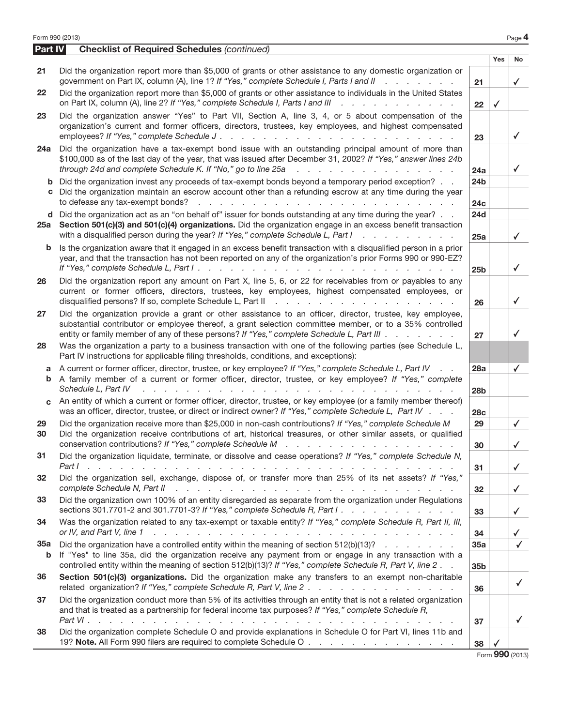|          | Form 990 (2013)                                                                                                                                                                                                                                                                                                                                      |                        |              | Page 4       |
|----------|------------------------------------------------------------------------------------------------------------------------------------------------------------------------------------------------------------------------------------------------------------------------------------------------------------------------------------------------------|------------------------|--------------|--------------|
| Part IV  | <b>Checklist of Required Schedules (continued)</b>                                                                                                                                                                                                                                                                                                   |                        |              |              |
| 21       | Did the organization report more than \$5,000 of grants or other assistance to any domestic organization or                                                                                                                                                                                                                                          |                        | Yes          | No           |
|          | government on Part IX, column (A), line 1? If "Yes," complete Schedule I, Parts I and II                                                                                                                                                                                                                                                             | 21                     |              | ✓            |
| 22       | Did the organization report more than \$5,000 of grants or other assistance to individuals in the United States<br>on Part IX, column (A), line 2? If "Yes," complete Schedule I, Parts I and III<br>and a straight and a straight and                                                                                                               | 22                     | $\checkmark$ |              |
| 23       | Did the organization answer "Yes" to Part VII, Section A, line 3, 4, or 5 about compensation of the<br>organization's current and former officers, directors, trustees, key employees, and highest compensated                                                                                                                                       | 23                     |              | ✓            |
| 24a      | Did the organization have a tax-exempt bond issue with an outstanding principal amount of more than<br>\$100,000 as of the last day of the year, that was issued after December 31, 2002? If "Yes," answer lines 24b<br>through 24d and complete Schedule K. If "No," go to line 25a<br>and the contract of the contract of the contract             | 24a                    |              | ✓            |
|          | <b>b</b> Did the organization invest any proceeds of tax-exempt bonds beyond a temporary period exception?<br>c Did the organization maintain an escrow account other than a refunding escrow at any time during the year<br>to defease any tax-exempt bonds?<br>and the contract of the contract of the contract of the contract of the contract of | 24 <sub>b</sub><br>24c |              |              |
|          | d Did the organization act as an "on behalf of" issuer for bonds outstanding at any time during the year?<br>25a Section 501(c)(3) and 501(c)(4) organizations. Did the organization engage in an excess benefit transaction<br>with a disqualified person during the year? If "Yes," complete Schedule L, Part I<br><u>.</u>                        | <b>24d</b><br>25a      |              | ✓            |
| b        | Is the organization aware that it engaged in an excess benefit transaction with a disqualified person in a prior<br>year, and that the transaction has not been reported on any of the organization's prior Forms 990 or 990-EZ?                                                                                                                     | 25 <sub>b</sub>        |              | ✓            |
| 26       | Did the organization report any amount on Part X, line 5, 6, or 22 for receivables from or payables to any<br>current or former officers, directors, trustees, key employees, highest compensated employees, or                                                                                                                                      | 26                     |              | ✓            |
| 27       | Did the organization provide a grant or other assistance to an officer, director, trustee, key employee,<br>substantial contributor or employee thereof, a grant selection committee member, or to a 35% controlled<br>entity or family member of any of these persons? If "Yes," complete Schedule L, Part III                                      | 27                     |              | ✓            |
| 28       | Was the organization a party to a business transaction with one of the following parties (see Schedule L,<br>Part IV instructions for applicable filing thresholds, conditions, and exceptions):                                                                                                                                                     |                        |              |              |
| a        | A current or former officer, director, trustee, or key employee? If "Yes," complete Schedule L, Part IV<br>$\sim$ $\sim$<br><b>b</b> A family member of a current or former officer, director, trustee, or key employee? If "Yes," complete<br>Schedule L, Part IV                                                                                   | 28a<br>28b             |              | ✓            |
| C.       | An entity of which a current or former officer, director, trustee, or key employee (or a family member thereof)<br>was an officer, director, trustee, or direct or indirect owner? If "Yes," complete Schedule L, Part IV                                                                                                                            | 28c                    |              |              |
| 29<br>30 | Did the organization receive more than \$25,000 in non-cash contributions? If "Yes," complete Schedule M<br>Did the organization receive contributions of art, historical treasures, or other similar assets, or qualified<br>conservation contributions? If "Yes," complete Schedule M                                                              | 29<br>30               |              | $\checkmark$ |
| 31       | Did the organization liquidate, terminate, or dissolve and cease operations? If "Yes," complete Schedule N,<br>Part I.                                                                                                                                                                                                                               | 31                     |              | $\checkmark$ |
| 32       | Did the organization sell, exchange, dispose of, or transfer more than 25% of its net assets? If "Yes,"<br>complete Schedule N, Part II<br>المتعاون والمتعاون والمتعاون والمتعاون والمتعاون والمتعاون والمتعاون والمتعاون والمتعاونة والمتعاون                                                                                                       | 32                     |              | $\checkmark$ |
| 33       | Did the organization own 100% of an entity disregarded as separate from the organization under Regulations<br>sections 301.7701-2 and 301.7701-3? If "Yes," complete Schedule R, Part I.                                                                                                                                                             | 33                     |              | $\checkmark$ |
| 34       | Was the organization related to any tax-exempt or taxable entity? If "Yes," complete Schedule R, Part II, III,<br>المتعاون والمتعاون والمتعاون والمتعاون والمتعاون والمتعاون والمتعاون والمتعاون والمتعاون والمتعاون والمتعاون<br>or IV, and Part V, line 1                                                                                          | 34                     |              |              |
| 35a<br>b | Did the organization have a controlled entity within the meaning of section $512(b)(13)?$<br>If "Yes" to line 35a, did the organization receive any payment from or engage in any transaction with a<br>controlled entity within the meaning of section 512(b)(13)? If "Yes," complete Schedule R, Part V, line 2.                                   | 35a<br>35b             |              |              |
| 36       | Section 501(c)(3) organizations. Did the organization make any transfers to an exempt non-charitable                                                                                                                                                                                                                                                 | 36                     |              | $\checkmark$ |
| 37       | Did the organization conduct more than 5% of its activities through an entity that is not a related organization<br>and that is treated as a partnership for federal income tax purposes? If "Yes," complete Schedule R,                                                                                                                             |                        |              |              |
| 38       | and the company of the state of the<br>Did the organization complete Schedule O and provide explanations in Schedule O for Part VI, lines 11b and<br>19? Note. All Form 990 filers are required to complete Schedule O                                                                                                                               | 37<br>38               |              | ✓            |
|          |                                                                                                                                                                                                                                                                                                                                                      |                        |              |              |

Form 990 (2013)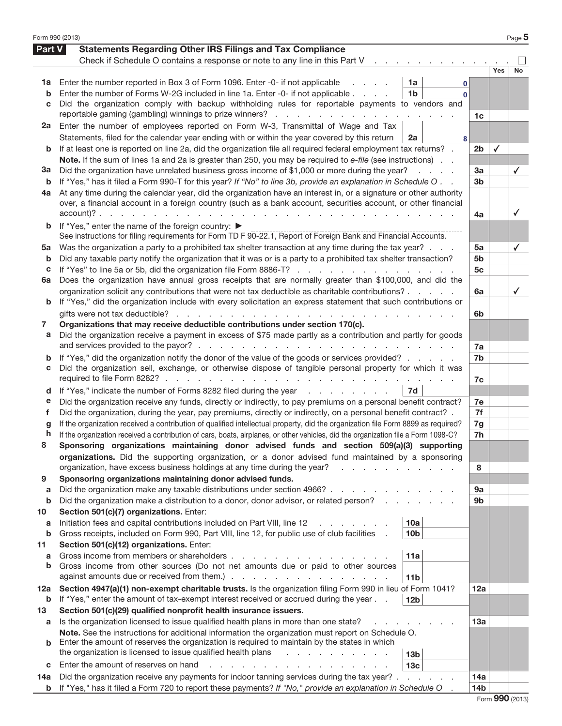| Form 990 (2013) |                                                                                                                                                                                                                        |                 |              | Page 5       |
|-----------------|------------------------------------------------------------------------------------------------------------------------------------------------------------------------------------------------------------------------|-----------------|--------------|--------------|
| Part V          | <b>Statements Regarding Other IRS Filings and Tax Compliance</b>                                                                                                                                                       |                 |              |              |
|                 | Check if Schedule O contains a response or note to any line in this Part V                                                                                                                                             |                 |              |              |
|                 |                                                                                                                                                                                                                        |                 | Yes          | No           |
| 1a              | Enter the number reported in Box 3 of Form 1096. Enter -0- if not applicable<br>1a<br>0                                                                                                                                |                 |              |              |
| b               | Enter the number of Forms W-2G included in line 1a. Enter -0- if not applicable<br>1b<br>$\Omega$                                                                                                                      |                 |              |              |
| С               | Did the organization comply with backup withholding rules for reportable payments to vendors and                                                                                                                       |                 |              |              |
|                 | reportable gaming (gambling) winnings to prize winners?                                                                                                                                                                | 1c              |              |              |
| 2a              | Enter the number of employees reported on Form W-3, Transmittal of Wage and Tax                                                                                                                                        |                 |              |              |
|                 | Statements, filed for the calendar year ending with or within the year covered by this return<br>2a<br>8                                                                                                               |                 |              |              |
| b               | If at least one is reported on line 2a, did the organization file all required federal employment tax returns?.                                                                                                        | 2 <sub>b</sub>  | $\checkmark$ |              |
|                 | Note. If the sum of lines 1a and 2a is greater than 250, you may be required to e-file (see instructions).                                                                                                             |                 |              |              |
| За              | Did the organization have unrelated business gross income of \$1,000 or more during the year?<br>and a state                                                                                                           | За              |              | $\checkmark$ |
| b               | If "Yes," has it filed a Form 990-T for this year? If "No" to line 3b, provide an explanation in Schedule O                                                                                                            | 3b              |              |              |
| 4a              | At any time during the calendar year, did the organization have an interest in, or a signature or other authority                                                                                                      |                 |              |              |
|                 | over, a financial account in a foreign country (such as a bank account, securities account, or other financial                                                                                                         |                 |              |              |
|                 |                                                                                                                                                                                                                        | 4a              |              | $\checkmark$ |
| b               | If "Yes," enter the name of the foreign country: ▶                                                                                                                                                                     |                 |              |              |
|                 | See instructions for filing requirements for Form TD F 90-22.1, Report of Foreign Bank and Financial Accounts.                                                                                                         |                 |              |              |
| 5a              | Was the organization a party to a prohibited tax shelter transaction at any time during the tax year?                                                                                                                  | 5a              |              | $\checkmark$ |
| b               | Did any taxable party notify the organization that it was or is a party to a prohibited tax shelter transaction?                                                                                                       | 5b              |              |              |
| c               | If "Yes" to line 5a or 5b, did the organization file Form 8886-T?                                                                                                                                                      | 5 <sub>c</sub>  |              |              |
| 6a              | Does the organization have annual gross receipts that are normally greater than \$100,000, and did the                                                                                                                 |                 |              |              |
|                 | organization solicit any contributions that were not tax deductible as charitable contributions?                                                                                                                       | 6a              |              |              |
| b               | If "Yes," did the organization include with every solicitation an express statement that such contributions or                                                                                                         |                 |              |              |
|                 | gifts were not tax deductible?                                                                                                                                                                                         | 6b              |              |              |
| 7               | Organizations that may receive deductible contributions under section 170(c).                                                                                                                                          |                 |              |              |
| a               | Did the organization receive a payment in excess of \$75 made partly as a contribution and partly for goods                                                                                                            |                 |              |              |
|                 |                                                                                                                                                                                                                        | 7a              |              |              |
| b               | If "Yes," did the organization notify the donor of the value of the goods or services provided?                                                                                                                        | 7b              |              |              |
| С               | Did the organization sell, exchange, or otherwise dispose of tangible personal property for which it was                                                                                                               |                 |              |              |
|                 | required to file Form 8282?.<br>the contract of the contract of the contract of the contract of the                                                                                                                    | 7c              |              |              |
| d               | If "Yes," indicate the number of Forms 8282 filed during the year<br>7d                                                                                                                                                |                 |              |              |
| е               | Did the organization receive any funds, directly or indirectly, to pay premiums on a personal benefit contract?                                                                                                        | 7e              |              |              |
| f               | Did the organization, during the year, pay premiums, directly or indirectly, on a personal benefit contract? .                                                                                                         | 7f              |              |              |
| g               | If the organization received a contribution of qualified intellectual property, did the organization file Form 8899 as required?                                                                                       | 7g              |              |              |
| h               | If the organization received a contribution of cars, boats, airplanes, or other vehicles, did the organization file a Form 1098-C?                                                                                     | 7h              |              |              |
| 8               | Sponsoring organizations maintaining donor advised funds and section 509(a)(3) supporting                                                                                                                              |                 |              |              |
|                 | organizations. Did the supporting organization, or a donor advised fund maintained by a sponsoring                                                                                                                     |                 |              |              |
|                 | organization, have excess business holdings at any time during the year?                                                                                                                                               | 8               |              |              |
| 9               | Sponsoring organizations maintaining donor advised funds.                                                                                                                                                              |                 |              |              |
| a               | Did the organization make any taxable distributions under section 4966?                                                                                                                                                | 9а              |              |              |
| b               | Did the organization make a distribution to a donor, donor advisor, or related person?<br>and a state of                                                                                                               | 9b              |              |              |
| 10              | Section 501(c)(7) organizations. Enter:                                                                                                                                                                                |                 |              |              |
| a               | 10a<br>Initiation fees and capital contributions included on Part VIII, line 12                                                                                                                                        |                 |              |              |
| b               | Gross receipts, included on Form 990, Part VIII, line 12, for public use of club facilities<br>10 <sub>b</sub>                                                                                                         |                 |              |              |
| 11              | Section 501(c)(12) organizations. Enter:                                                                                                                                                                               |                 |              |              |
| a<br>b          | Gross income from members or shareholders.<br>11a<br>Gross income from other sources (Do not net amounts due or paid to other sources                                                                                  |                 |              |              |
|                 | against amounts due or received from them.).<br>the contract of the contract of the contract of                                                                                                                        |                 |              |              |
|                 | 11 <sub>b</sub>                                                                                                                                                                                                        |                 |              |              |
| 12a<br>b        | Section 4947(a)(1) non-exempt charitable trusts. Is the organization filing Form 990 in lieu of Form 1041?<br>If "Yes," enter the amount of tax-exempt interest received or accrued during the year<br>12 <sub>b</sub> | 12a             |              |              |
| 13              | Section 501(c)(29) qualified nonprofit health insurance issuers.                                                                                                                                                       |                 |              |              |
| а               | Is the organization licensed to issue qualified health plans in more than one state?                                                                                                                                   | 13a             |              |              |
|                 | Note. See the instructions for additional information the organization must report on Schedule O.                                                                                                                      |                 |              |              |
|                 | Enter the amount of reserves the organization is required to maintain by the states in which                                                                                                                           |                 |              |              |
|                 | the organization is licensed to issue qualified health plans<br>13 <sub>b</sub>                                                                                                                                        |                 |              |              |
| C               | Enter the amount of reserves on hand<br>13с                                                                                                                                                                            |                 |              |              |
| 14a             | Did the organization receive any payments for indoor tanning services during the tax year?.<br>and a state of                                                                                                          | 14a             |              |              |
| b               | If "Yes," has it filed a Form 720 to report these payments? If "No," provide an explanation in Schedule O                                                                                                              | 14 <sub>b</sub> |              |              |
|                 |                                                                                                                                                                                                                        |                 |              |              |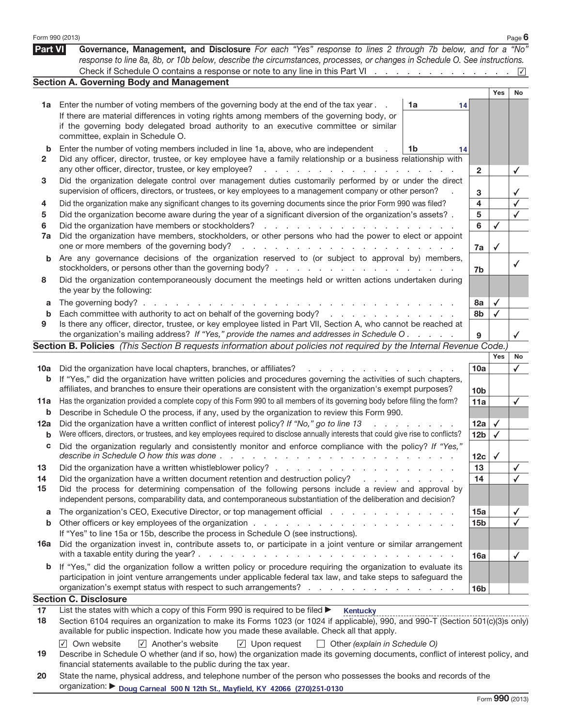|                | Form 990 (2013)                                                                                                                                                                                                                                                                                                                                                                             |                                   |                 |              | Page $6$     |
|----------------|---------------------------------------------------------------------------------------------------------------------------------------------------------------------------------------------------------------------------------------------------------------------------------------------------------------------------------------------------------------------------------------------|-----------------------------------|-----------------|--------------|--------------|
| <b>Part VI</b> | Governance, Management, and Disclosure For each "Yes" response to lines 2 through 7b below, and for a "No"<br>response to line 8a, 8b, or 10b below, describe the circumstances, processes, or changes in Schedule O. See instructions.                                                                                                                                                     |                                   |                 |              |              |
|                |                                                                                                                                                                                                                                                                                                                                                                                             |                                   |                 |              |              |
|                | <b>Section A. Governing Body and Management</b>                                                                                                                                                                                                                                                                                                                                             |                                   |                 |              |              |
|                |                                                                                                                                                                                                                                                                                                                                                                                             |                                   |                 | Yes          | No           |
| 1a             | Enter the number of voting members of the governing body at the end of the tax year.                                                                                                                                                                                                                                                                                                        | 1a<br>14                          |                 |              |              |
|                | If there are material differences in voting rights among members of the governing body, or<br>if the governing body delegated broad authority to an executive committee or similar<br>committee, explain in Schedule O.                                                                                                                                                                     |                                   |                 |              |              |
| b              | Enter the number of voting members included in line 1a, above, who are independent                                                                                                                                                                                                                                                                                                          | 1b<br>14                          |                 |              |              |
| 2              | Did any officer, director, trustee, or key employee have a family relationship or a business relationship with<br>any other officer, director, trustee, or key employee?<br>and the contract of the contract of the contract of the                                                                                                                                                         |                                   | $\overline{2}$  |              | ✓            |
| З              | Did the organization delegate control over management duties customarily performed by or under the direct<br>supervision of officers, directors, or trustees, or key employees to a management company or other person?                                                                                                                                                                     |                                   | 3               |              |              |
| 4              | Did the organization make any significant changes to its governing documents since the prior Form 990 was filed?                                                                                                                                                                                                                                                                            |                                   | 4               |              |              |
| 5              | Did the organization become aware during the year of a significant diversion of the organization's assets?.                                                                                                                                                                                                                                                                                 |                                   | 5               |              |              |
| 6              |                                                                                                                                                                                                                                                                                                                                                                                             |                                   | 6               | ✓            |              |
| 7a             | Did the organization have members, stockholders, or other persons who had the power to elect or appoint                                                                                                                                                                                                                                                                                     |                                   |                 |              |              |
|                | one or more members of the governing body?                                                                                                                                                                                                                                                                                                                                                  |                                   | 7a              | ✓            |              |
| b              | Are any governance decisions of the organization reserved to (or subject to approval by) members,                                                                                                                                                                                                                                                                                           |                                   | 7 <sub>b</sub>  |              | $\checkmark$ |
| 8              | Did the organization contemporaneously document the meetings held or written actions undertaken during<br>the year by the following:                                                                                                                                                                                                                                                        |                                   |                 |              |              |
| a              | The governing body?.<br>the contract of the contract of the con-<br><b>Contract Contract</b>                                                                                                                                                                                                                                                                                                |                                   | 8а              | $\checkmark$ |              |
| b              | Each committee with authority to act on behalf of the governing body?                                                                                                                                                                                                                                                                                                                       |                                   | 8b              | $\checkmark$ |              |
| 9              | Is there any officer, director, trustee, or key employee listed in Part VII, Section A, who cannot be reached at<br>the organization's mailing address? If "Yes," provide the names and addresses in Schedule O.                                                                                                                                                                            |                                   | 9               |              |              |
|                | Section B. Policies (This Section B requests information about policies not required by the Internal Revenue Code.)                                                                                                                                                                                                                                                                         |                                   |                 |              |              |
|                |                                                                                                                                                                                                                                                                                                                                                                                             |                                   |                 | Yes          | No           |
| 10a            | Did the organization have local chapters, branches, or affiliates?<br>and a strategic and                                                                                                                                                                                                                                                                                                   |                                   | 10a             |              | $\checkmark$ |
| b              | If "Yes," did the organization have written policies and procedures governing the activities of such chapters,                                                                                                                                                                                                                                                                              |                                   |                 |              |              |
|                | affiliates, and branches to ensure their operations are consistent with the organization's exempt purposes?                                                                                                                                                                                                                                                                                 |                                   | 10 <sub>b</sub> |              |              |
| 11a            | Has the organization provided a complete copy of this Form 990 to all members of its governing body before filing the form?                                                                                                                                                                                                                                                                 |                                   | 11a             |              |              |
| b              | Describe in Schedule O the process, if any, used by the organization to review this Form 990.                                                                                                                                                                                                                                                                                               |                                   |                 |              |              |
| 12a            | Did the organization have a written conflict of interest policy? If "No," go to line 13<br>$1 - 1 - 1$                                                                                                                                                                                                                                                                                      |                                   | 12a             | $\checkmark$ |              |
| b              | Were officers, directors, or trustees, and key employees required to disclose annually interests that could give rise to conflicts?                                                                                                                                                                                                                                                         |                                   | 12 <sub>b</sub> | $\checkmark$ |              |
|                | Did the organization regularly and consistently monitor and enforce compliance with the policy? If "Yes,<br>describe in Schedule O how this was done.<br>the contract of the contract of the contract of the contract of the contract of the contract of the contract of                                                                                                                    |                                   | 12c             | $\checkmark$ |              |
| 13             |                                                                                                                                                                                                                                                                                                                                                                                             |                                   | 13              |              | ✓            |
| 14             | Did the organization have a written document retention and destruction policy?                                                                                                                                                                                                                                                                                                              | and the company of the company of | 14              |              |              |
| 15             | Did the process for determining compensation of the following persons include a review and approval by<br>independent persons, comparability data, and contemporaneous substantiation of the deliberation and decision?                                                                                                                                                                     |                                   |                 |              |              |
| a              | The organization's CEO, Executive Director, or top management official                                                                                                                                                                                                                                                                                                                      |                                   | 15a             |              | ✓            |
| b              | If "Yes" to line 15a or 15b, describe the process in Schedule O (see instructions).                                                                                                                                                                                                                                                                                                         |                                   | 15 <sub>b</sub> |              | $\checkmark$ |
| 16a            | Did the organization invest in, contribute assets to, or participate in a joint venture or similar arrangement<br>with a taxable entity during the year?.<br>the second companies of the second companies of the second companies of the second companies of the second companies of the second companies of the second companies of the second companies of the second companies of the se |                                   |                 |              |              |
|                |                                                                                                                                                                                                                                                                                                                                                                                             |                                   | 16a             |              | ✓            |
| b              | If "Yes," did the organization follow a written policy or procedure requiring the organization to evaluate its<br>participation in joint venture arrangements under applicable federal tax law, and take steps to safeguard the<br>organization's exempt status with respect to such arrangements?                                                                                          |                                   |                 |              |              |
|                | <b>Section C. Disclosure</b>                                                                                                                                                                                                                                                                                                                                                                |                                   | 16 <sub>b</sub> |              |              |
| 17             | List the states with which a copy of this Form 990 is required to be filed ▶                                                                                                                                                                                                                                                                                                                |                                   |                 |              |              |
| 18             | <b>Kentucky</b><br>Section 6104 requires an organization to make its Forms 1023 (or 1024 if applicable), 990, and 990-T (Section 501(c)(3)s only)<br>available for public inspection. Indicate how you made these available. Check all that apply.                                                                                                                                          |                                   |                 |              |              |
|                |                                                                                                                                                                                                                                                                                                                                                                                             |                                   |                 |              |              |

| $\sqrt{ }$ Own website | √ Another's website | √ Upon request | Other (explain in Schedule O) |
|------------------------|---------------------|----------------|-------------------------------|
|------------------------|---------------------|----------------|-------------------------------|

- 19 Describe in Schedule O whether (and if so, how) the organization made its governing documents, conflict of interest policy, and financial statements available to the public during the tax year.
- 20 State the name, physical address, and telephone number of the person who possesses the books and records of the organization: Doug Carneal 500 N 12th St., Mayfield, KY 42066 (270)251-0130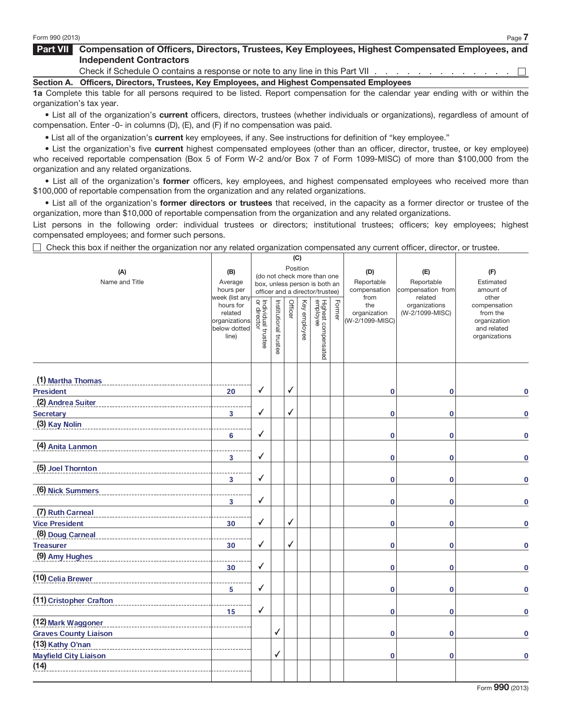#### Part VII Compensation of Officers, Directors, Trustees, Key Employees, Highest Compensated Employees, and Independent Contractors

Check if Schedule O contains a response or note to any line in this Part VII . . . . . . . . . . . .  $\Box$ 

Section A. Officers, Directors, Trustees, Key Employees, and Highest Compensated Employees

1a Complete this table for all persons required to be listed. Report compensation for the calendar year ending with or within the organization's tax year.

• List all of the organization's current officers, directors, trustees (whether individuals or organizations), regardless of amount of compensation. Enter -0- in columns (D), (E), and (F) if no compensation was paid.

• List all of the organization's current key employees, if any. See instructions for definition of "key employee."

• List the organization's five current highest compensated employees (other than an officer, director, trustee, or key employee) who received reportable compensation (Box 5 of Form W-2 and/or Box 7 of Form 1099-MISC) of more than \$100,000 from the organization and any related organizations.

• List all of the organization's former officers, key employees, and highest compensated employees who received more than \$100,000 of reportable compensation from the organization and any related organizations.

• List all of the organization's former directors or trustees that received, in the capacity as a former director or trustee of the organization, more than \$10,000 of reportable compensation from the organization and any related organizations.

List persons in the following order: individual trustees or directors; institutional trustees; officers; key employees; highest compensated employees; and former such persons.

Check this box if neither the organization nor any related organization compensated any current officer, director, or trustee.

|                                                    |                             |                                         |                       |              | (C)      |                                 |        |                      |                                  |                              |
|----------------------------------------------------|-----------------------------|-----------------------------------------|-----------------------|--------------|----------|---------------------------------|--------|----------------------|----------------------------------|------------------------------|
| (A)                                                | (B)                         | Position<br>(do not check more than one |                       | (D)          | (E)      | (F)                             |        |                      |                                  |                              |
| Name and Title                                     | Average                     |                                         |                       |              |          | box, unless person is both an   |        | Reportable           | Reportable                       | Estimated                    |
|                                                    | hours per<br>week (list any |                                         |                       |              |          | officer and a director/trustee) |        | compensation<br>from | compensation from<br>related     | amount of<br>other           |
|                                                    | hours for<br>related        | Individual trustee<br>or director       | Institutional trustee | Officer      | Key      | Highest compensated<br>employee | Former | the<br>organization  | organizations<br>(W-2/1099-MISC) | compensation<br>from the     |
|                                                    | organizations               |                                         |                       |              | employee |                                 |        | (W-2/1099-MISC)      |                                  | organization                 |
|                                                    | below dotted<br>line)       |                                         |                       |              |          |                                 |        |                      |                                  | and related<br>organizations |
|                                                    |                             |                                         |                       |              |          |                                 |        |                      |                                  |                              |
|                                                    |                             |                                         |                       |              |          |                                 |        |                      |                                  |                              |
|                                                    |                             |                                         |                       |              |          |                                 |        |                      |                                  |                              |
| (1) Martha Thomas                                  |                             | $\checkmark$                            |                       | ✓            |          |                                 |        |                      |                                  |                              |
| <b>President</b><br>(2) Andrea Suiter              | 20                          |                                         |                       |              |          |                                 |        | $\bf{0}$             | $\bf{0}$                         | $\bf{0}$                     |
| <b>Secretary</b>                                   | $\overline{\mathbf{3}}$     | √                                       |                       | $\checkmark$ |          |                                 |        | $\mathbf 0$          | 0                                | $\bf{0}$                     |
| (3) Kay Nolin                                      |                             |                                         |                       |              |          |                                 |        |                      |                                  |                              |
|                                                    | 6                           | ✓                                       |                       |              |          |                                 |        | $\mathbf 0$          | 0                                | $\mathbf 0$                  |
| (4) Anita Lanmon                                   |                             |                                         |                       |              |          |                                 |        |                      |                                  |                              |
|                                                    | 3                           | ✓                                       |                       |              |          |                                 |        | $\bf{0}$             | 0                                | $\mathbf 0$                  |
| (5) Joel Thornton                                  |                             |                                         |                       |              |          |                                 |        |                      |                                  |                              |
|                                                    | $\overline{\mathbf{3}}$     | √                                       |                       |              |          |                                 |        | $\bf{0}$             | $\bf{0}$                         | $\bf{0}$                     |
| (6) Nick Summers                                   |                             |                                         |                       |              |          |                                 |        |                      |                                  |                              |
|                                                    | 3                           | ✓                                       |                       |              |          |                                 |        | $\mathbf 0$          | $\mathbf{0}$                     | $\bf{0}$                     |
| (7) Ruth Carneal                                   |                             |                                         |                       |              |          |                                 |        |                      |                                  |                              |
| <b>Vice President</b>                              | 30                          | ✓                                       |                       | $\checkmark$ |          |                                 |        | $\bf{0}$             | 0                                | $\bf{0}$                     |
| (8) Doug Carneal                                   |                             |                                         |                       |              |          |                                 |        |                      |                                  |                              |
| <b>Treasurer</b>                                   | 30                          | ✓                                       |                       | $\checkmark$ |          |                                 |        | $\bf{0}$             | $\bf{0}$                         | $\Omega$                     |
| (9) Amy Hughes                                     |                             |                                         |                       |              |          |                                 |        |                      |                                  |                              |
|                                                    | 30                          | √                                       |                       |              |          |                                 |        | $\mathbf 0$          | 0                                | 0                            |
| (10) Celia Brewer                                  |                             |                                         |                       |              |          |                                 |        |                      |                                  |                              |
|                                                    | 5                           | ✓                                       |                       |              |          |                                 |        | $\bf{0}$             | 0                                | $\bf{0}$                     |
| (11) Cristopher Crafton                            |                             | $\checkmark$                            |                       |              |          |                                 |        |                      |                                  |                              |
|                                                    | 15                          |                                         |                       |              |          |                                 |        | $\mathbf 0$          | $\mathbf 0$                      | $\Omega$                     |
| (12) Mark Waggoner<br><b>Graves County Liaison</b> |                             |                                         | $\checkmark$          |              |          |                                 |        | $\bf{0}$             | $\bf{0}$                         | $\bf{0}$                     |
| (13) Kathy O'nan                                   |                             |                                         |                       |              |          |                                 |        |                      |                                  |                              |
| <b>Mayfield City Liaison</b>                       |                             |                                         | √                     |              |          |                                 |        | $\mathbf 0$          | 0                                | $\bf{0}$                     |
| (14)                                               |                             |                                         |                       |              |          |                                 |        |                      |                                  |                              |
|                                                    |                             |                                         |                       |              |          |                                 |        |                      |                                  |                              |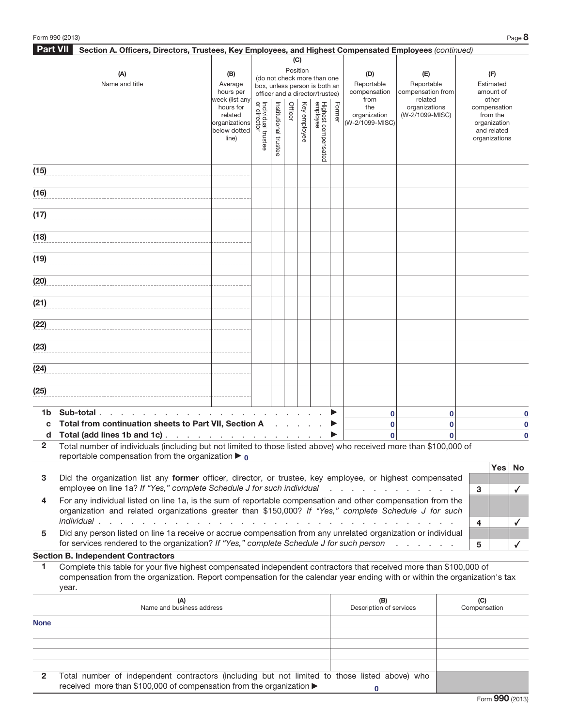| <b>Part VII</b><br>Section A. Officers, Directors, Trustees, Key Employees, and Highest Compensated Employees (continued) |                                                                                                                            |                                      |                                   |               |         |          |                                 |        |                                                |                                  |              |           |                             |             |
|---------------------------------------------------------------------------------------------------------------------------|----------------------------------------------------------------------------------------------------------------------------|--------------------------------------|-----------------------------------|---------------|---------|----------|---------------------------------|--------|------------------------------------------------|----------------------------------|--------------|-----------|-----------------------------|-------------|
|                                                                                                                           |                                                                                                                            |                                      |                                   |               |         | (C)      |                                 |        |                                                |                                  |              |           |                             |             |
|                                                                                                                           | (A)                                                                                                                        | (B)                                  |                                   |               |         | Position | (do not check more than one     |        | (D)                                            | (E)                              |              |           | (F)                         |             |
|                                                                                                                           | Name and title                                                                                                             | Average                              |                                   |               |         |          | box, unless person is both an   |        | Reportable<br>Reportable                       |                                  |              | Estimated |                             |             |
|                                                                                                                           |                                                                                                                            | hours per                            |                                   |               |         |          | officer and a director/trustee) |        | compensation                                   | compensation from<br>related     |              |           | amount of                   |             |
|                                                                                                                           |                                                                                                                            | week (list any<br>hours for          |                                   |               |         | Key      |                                 |        | from<br>the                                    | organizations                    |              |           | other<br>compensation       |             |
|                                                                                                                           |                                                                                                                            | related                              | Individual trustee<br>or director | Institutional | Officer |          |                                 | Former | organization                                   | (W-2/1099-MISC)                  |              |           | from the                    |             |
|                                                                                                                           |                                                                                                                            | organizations<br>below dotted        |                                   |               |         | employee |                                 |        | (W-2/1099-MISC)                                |                                  |              |           | organization<br>and related |             |
|                                                                                                                           |                                                                                                                            | line)                                |                                   |               |         |          |                                 |        |                                                |                                  |              |           | organizations               |             |
|                                                                                                                           |                                                                                                                            |                                      |                                   | trustee       |         |          | Highest compensated<br>employee |        |                                                |                                  |              |           |                             |             |
|                                                                                                                           |                                                                                                                            |                                      |                                   |               |         |          |                                 |        |                                                |                                  |              |           |                             |             |
| (15)                                                                                                                      |                                                                                                                            |                                      |                                   |               |         |          |                                 |        |                                                |                                  |              |           |                             |             |
|                                                                                                                           |                                                                                                                            |                                      |                                   |               |         |          |                                 |        |                                                |                                  |              |           |                             |             |
| (16)                                                                                                                      |                                                                                                                            |                                      |                                   |               |         |          |                                 |        |                                                |                                  |              |           |                             |             |
|                                                                                                                           |                                                                                                                            |                                      |                                   |               |         |          |                                 |        |                                                |                                  |              |           |                             |             |
| (17)                                                                                                                      |                                                                                                                            |                                      |                                   |               |         |          |                                 |        |                                                |                                  |              |           |                             |             |
|                                                                                                                           |                                                                                                                            |                                      |                                   |               |         |          |                                 |        |                                                |                                  |              |           |                             |             |
| (18)                                                                                                                      |                                                                                                                            |                                      |                                   |               |         |          |                                 |        |                                                |                                  |              |           |                             |             |
|                                                                                                                           |                                                                                                                            |                                      |                                   |               |         |          |                                 |        |                                                |                                  |              |           |                             |             |
| (19)                                                                                                                      |                                                                                                                            |                                      |                                   |               |         |          |                                 |        |                                                |                                  |              |           |                             |             |
|                                                                                                                           |                                                                                                                            |                                      |                                   |               |         |          |                                 |        |                                                |                                  |              |           |                             |             |
| (20)                                                                                                                      |                                                                                                                            |                                      |                                   |               |         |          |                                 |        |                                                |                                  |              |           |                             |             |
|                                                                                                                           |                                                                                                                            |                                      |                                   |               |         |          |                                 |        |                                                |                                  |              |           |                             |             |
| (21)                                                                                                                      |                                                                                                                            |                                      |                                   |               |         |          |                                 |        |                                                |                                  |              |           |                             |             |
|                                                                                                                           |                                                                                                                            |                                      |                                   |               |         |          |                                 |        |                                                |                                  |              |           |                             |             |
|                                                                                                                           |                                                                                                                            |                                      |                                   |               |         |          |                                 |        |                                                |                                  |              |           |                             |             |
| (22)                                                                                                                      |                                                                                                                            |                                      |                                   |               |         |          |                                 |        |                                                |                                  |              |           |                             |             |
|                                                                                                                           |                                                                                                                            |                                      |                                   |               |         |          |                                 |        |                                                |                                  |              |           |                             |             |
| (23)                                                                                                                      |                                                                                                                            |                                      |                                   |               |         |          |                                 |        |                                                |                                  |              |           |                             |             |
|                                                                                                                           |                                                                                                                            |                                      |                                   |               |         |          |                                 |        |                                                |                                  |              |           |                             |             |
| (24)                                                                                                                      |                                                                                                                            |                                      |                                   |               |         |          |                                 |        |                                                |                                  |              |           |                             |             |
|                                                                                                                           |                                                                                                                            |                                      |                                   |               |         |          |                                 |        |                                                |                                  |              |           |                             |             |
| (25)                                                                                                                      |                                                                                                                            |                                      |                                   |               |         |          |                                 |        |                                                |                                  |              |           |                             |             |
|                                                                                                                           |                                                                                                                            |                                      |                                   |               |         |          |                                 |        |                                                |                                  |              |           |                             |             |
| 1b                                                                                                                        | Sub-total                                                                                                                  |                                      |                                   |               |         |          |                                 |        | $\bf{0}$                                       |                                  | 0            |           |                             | $\bf{0}$    |
| C                                                                                                                         | Total from continuation sheets to Part VII, Section A                                                                      |                                      |                                   |               |         |          |                                 |        | $\bf{0}$                                       |                                  | 0            |           |                             | $\mathbf 0$ |
| d                                                                                                                         | Total (add lines 1b and 1c) <u>.</u>                                                                                       |                                      |                                   |               |         |          |                                 |        | 0                                              |                                  | $\mathbf{0}$ |           |                             | $\bf{0}$    |
| $\overline{2}$                                                                                                            | Total number of individuals (including but not limited to those listed above) who received more than \$100,000 of          |                                      |                                   |               |         |          |                                 |        |                                                |                                  |              |           |                             |             |
|                                                                                                                           | reportable compensation from the organization $\blacktriangleright$ 0                                                      |                                      |                                   |               |         |          |                                 |        |                                                |                                  |              |           |                             |             |
|                                                                                                                           |                                                                                                                            |                                      |                                   |               |         |          |                                 |        |                                                |                                  |              |           | <b>Yes</b>                  | No          |
| 3                                                                                                                         | Did the organization list any former officer, director, or trustee, key employee, or highest compensated                   |                                      |                                   |               |         |          |                                 |        |                                                |                                  |              |           |                             |             |
|                                                                                                                           | employee on line 1a? If "Yes," complete Schedule J for such individual                                                     |                                      |                                   |               |         |          |                                 |        | $\mathbf{r}$ and $\mathbf{r}$ and $\mathbf{r}$ |                                  |              |           | 3                           | ✓           |
| 4                                                                                                                         | For any individual listed on line 1a, is the sum of reportable compensation and other compensation from the                |                                      |                                   |               |         |          |                                 |        |                                                |                                  |              |           |                             |             |
|                                                                                                                           | organization and related organizations greater than \$150,000? If "Yes," complete Schedule J for such                      |                                      |                                   |               |         |          |                                 |        |                                                |                                  |              |           |                             |             |
|                                                                                                                           | individual.                                                                                                                | $\mathcal{L}^{\text{max}}$<br>$\sim$ |                                   |               |         |          |                                 |        |                                                |                                  |              |           | 4                           | ✓           |
| 5                                                                                                                         | Did any person listed on line 1a receive or accrue compensation from any unrelated organization or individual              |                                      |                                   |               |         |          |                                 |        |                                                |                                  |              |           |                             |             |
|                                                                                                                           | for services rendered to the organization? If "Yes," complete Schedule J for such person                                   |                                      |                                   |               |         |          |                                 |        |                                                | and the contract of the state of |              |           | 5                           |             |
|                                                                                                                           | <b>Section B. Independent Contractors</b>                                                                                  |                                      |                                   |               |         |          |                                 |        |                                                |                                  |              |           |                             |             |
| 1                                                                                                                         | Complete this table for your five highest compensated independent contractors that received more than \$100,000 of         |                                      |                                   |               |         |          |                                 |        |                                                |                                  |              |           |                             |             |
|                                                                                                                           | compensation from the organization. Report compensation for the calendar year ending with or within the organization's tax |                                      |                                   |               |         |          |                                 |        |                                                |                                  |              |           |                             |             |
|                                                                                                                           | year.                                                                                                                      |                                      |                                   |               |         |          |                                 |        |                                                |                                  |              |           |                             |             |
|                                                                                                                           | (A)                                                                                                                        |                                      |                                   |               |         |          |                                 |        | (B)                                            |                                  |              |           | (C)                         |             |

|              | (A)<br>Name and business address                                                              | (B)<br>Description of services | (C)<br>Compensation |
|--------------|-----------------------------------------------------------------------------------------------|--------------------------------|---------------------|
| <b>None</b>  |                                                                                               |                                |                     |
|              |                                                                                               |                                |                     |
|              |                                                                                               |                                |                     |
|              |                                                                                               |                                |                     |
|              |                                                                                               |                                |                     |
| $\mathbf{2}$ | Total number of independent contractors (including but not limited to those listed above) who |                                |                     |
|              | received more than \$100,000 of compensation from the organization ▶                          |                                |                     |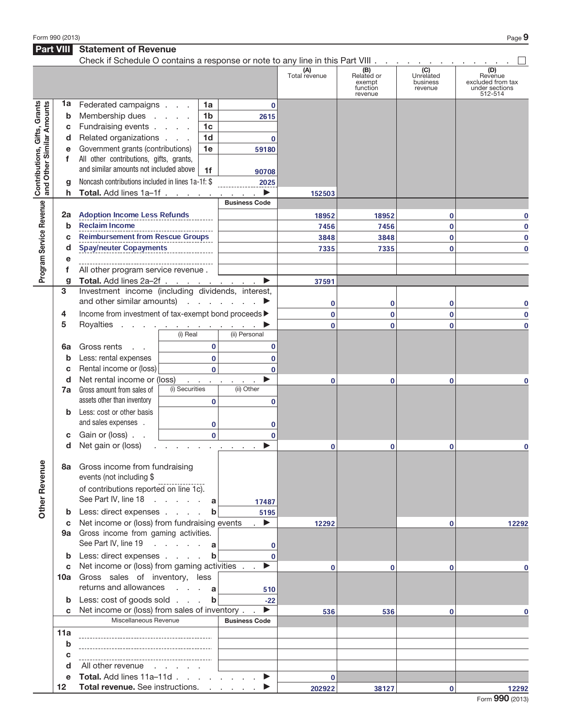Form 990 (2013) Page  $9$ 

### **Part VIII** Statement of Revenue

|                                                                  |         | Check if Schedule O contains a response or note to any line in this Part VIII                                                                          |                              |                        |                      |                                                    |                                                      |                                                                  |
|------------------------------------------------------------------|---------|--------------------------------------------------------------------------------------------------------------------------------------------------------|------------------------------|------------------------|----------------------|----------------------------------------------------|------------------------------------------------------|------------------------------------------------------------------|
|                                                                  |         |                                                                                                                                                        |                              |                        | (A)<br>Total revenue | (B)<br>Related or<br>exempt<br>function<br>revenue | $\overline{(C)}$<br>Unrelated<br>business<br>revenue | (D)<br>Revenue<br>excluded from tax<br>under sections<br>512-514 |
|                                                                  | 1a      | Federated campaigns                                                                                                                                    |                              | 1a                     | $\mathbf 0$          |                                                    |                                                      |                                                                  |
|                                                                  | b       | Membership dues                                                                                                                                        |                              | 1 <sub>b</sub><br>2615 |                      |                                                    |                                                      |                                                                  |
|                                                                  | С       | Fundraising events                                                                                                                                     |                              | 1 <sub>c</sub>         |                      |                                                    |                                                      |                                                                  |
|                                                                  | d       | Related organizations                                                                                                                                  |                              | 1 <sub>d</sub>         | $\mathbf 0$          |                                                    |                                                      |                                                                  |
| <b>Contributions, Gifts, Grants</b><br>and Other Similar Amounts | е       | Government grants (contributions)                                                                                                                      |                              | 1e<br>59180            |                      |                                                    |                                                      |                                                                  |
|                                                                  | f       | All other contributions, gifts, grants,                                                                                                                |                              |                        |                      |                                                    |                                                      |                                                                  |
|                                                                  |         | and similar amounts not included above                                                                                                                 |                              | 1f                     |                      |                                                    |                                                      |                                                                  |
|                                                                  |         | Noncash contributions included in lines 1a-1f: \$                                                                                                      |                              | 90708                  |                      |                                                    |                                                      |                                                                  |
|                                                                  | q       |                                                                                                                                                        |                              | 2025<br>▶              |                      |                                                    |                                                      |                                                                  |
|                                                                  | h       | Total. Add lines 1a-1f                                                                                                                                 |                              | <b>Business Code</b>   | 152503               |                                                    |                                                      |                                                                  |
| Program Service Revenue                                          |         |                                                                                                                                                        |                              |                        |                      |                                                    |                                                      |                                                                  |
|                                                                  | 2a      | <b>Adoption Income Less Refunds</b>                                                                                                                    |                              |                        | 18952                | 18952                                              | 0                                                    | $\bf{0}$                                                         |
|                                                                  | b       | <b>Reclaim Income</b>                                                                                                                                  |                              |                        | 7456                 | 7456                                               | 0                                                    | $\mathbf 0$                                                      |
|                                                                  | C       | <b>Reimbursement from Rescue Groups</b>                                                                                                                |                              |                        | 3848                 | 3848                                               | 0                                                    | $\bf{0}$                                                         |
|                                                                  | d       | Spay/neuter Copayments                                                                                                                                 |                              |                        | 7335                 | 7335                                               | 0                                                    | 0                                                                |
|                                                                  | е       |                                                                                                                                                        |                              |                        |                      |                                                    |                                                      |                                                                  |
|                                                                  | f       | All other program service revenue.                                                                                                                     |                              |                        |                      |                                                    |                                                      |                                                                  |
|                                                                  | g       | Total. Add lines 2a-2f                                                                                                                                 |                              | ▶                      | 37591                |                                                    |                                                      |                                                                  |
|                                                                  | 3       | Investment income (including dividends, interest,                                                                                                      |                              |                        |                      |                                                    |                                                      |                                                                  |
|                                                                  |         | and other similar amounts) $\cdots$ $\cdots$                                                                                                           |                              |                        | 0                    | 0                                                  | 0                                                    | 0                                                                |
|                                                                  | 4       | Income from investment of tax-exempt bond proceeds $\blacktriangleright$                                                                               |                              |                        | $\bf{0}$             | $\mathbf 0$                                        | 0                                                    | $\mathbf 0$                                                      |
|                                                                  | 5       | Royalties <u>.</u>                                                                                                                                     |                              |                        | $\bf{0}$             | $\bf{0}$                                           | 0                                                    | $\bf{0}$                                                         |
|                                                                  |         |                                                                                                                                                        | (i) Real                     | (ii) Personal          |                      |                                                    |                                                      |                                                                  |
|                                                                  | 6a      | Gross rents<br>$\Delta\sim 100$                                                                                                                        |                              | $\bf{0}$               | 0                    |                                                    |                                                      |                                                                  |
|                                                                  | b       | Less: rental expenses                                                                                                                                  |                              | $\bf{0}$               | $\bf{0}$             |                                                    |                                                      |                                                                  |
|                                                                  | c       | Rental income or (loss)                                                                                                                                |                              | $\Omega$               | $\bf{0}$             |                                                    |                                                      |                                                                  |
|                                                                  | d       | Net rental income or (loss)                                                                                                                            |                              | ▶<br><b>Carl All A</b> | $\bf{0}$             | 0                                                  | 0                                                    | 0                                                                |
|                                                                  | 7a      | Gross amount from sales of<br>assets other than inventory                                                                                              | (i) Securities               | (ii) Other<br>$\bf{0}$ | $\mathbf 0$          |                                                    |                                                      |                                                                  |
|                                                                  | b       | Less: cost or other basis<br>and sales expenses .                                                                                                      |                              |                        |                      |                                                    |                                                      |                                                                  |
|                                                                  |         |                                                                                                                                                        |                              | 0                      | 0                    |                                                    |                                                      |                                                                  |
|                                                                  | С       | Gain or (loss)                                                                                                                                         |                              | $\mathbf 0$<br>ь       | $\bf{0}$             |                                                    |                                                      |                                                                  |
|                                                                  | d       | Net gain or (loss)                                                                                                                                     | and the contract of the con- |                        | $\bf{0}$             | 0                                                  | 0                                                    | 0                                                                |
| ٩<br><b>Other Reven</b>                                          | 8а<br>b | Gross income from fundraising<br>events (not including \$<br>of contributions reported on line 1c).<br>See Part IV, line 18 a<br>Less: direct expenses |                              | 17487<br>b<br>5195     |                      |                                                    |                                                      |                                                                  |
|                                                                  | c       | Net income or (loss) from fundraising events                                                                                                           |                              | $\blacktriangleright$  | 12292                |                                                    | 0                                                    | 12292                                                            |
|                                                                  | 9а      | Gross income from gaming activities.<br>See Part IV, line 19 a                                                                                         |                              |                        |                      |                                                    |                                                      |                                                                  |
|                                                                  |         | Less: direct expenses                                                                                                                                  |                              | $\mathbf b$            | 0<br>$\Omega$        |                                                    |                                                      |                                                                  |
|                                                                  | b<br>C  | Net income or (loss) from gaming activities .                                                                                                          |                              | ▶                      | $\bf{0}$             | 0                                                  | 0                                                    | 0                                                                |
|                                                                  | 10a     | Gross sales of inventory, less<br>returns and allowances                                                                                               |                              |                        |                      |                                                    |                                                      |                                                                  |
|                                                                  |         |                                                                                                                                                        | $\cdots$ $a$                 | 510                    |                      |                                                    |                                                      |                                                                  |
|                                                                  | b       | Less: cost of goods sold                                                                                                                               |                              | $\mathbf b$<br>$-22$   |                      |                                                    |                                                      |                                                                  |
|                                                                  | C       | Net income or (loss) from sales of inventory.<br>Miscellaneous Revenue                                                                                 |                              | ▶                      | 536                  | 536                                                | 0                                                    | 0                                                                |
|                                                                  |         |                                                                                                                                                        |                              | <b>Business Code</b>   |                      |                                                    |                                                      |                                                                  |
|                                                                  | 11a     |                                                                                                                                                        |                              |                        |                      |                                                    |                                                      |                                                                  |
|                                                                  | b       |                                                                                                                                                        |                              |                        |                      |                                                    |                                                      |                                                                  |
|                                                                  | c       | ------------------------------                                                                                                                         |                              |                        |                      |                                                    |                                                      |                                                                  |
|                                                                  | d       | All other revenue                                                                                                                                      |                              |                        |                      |                                                    |                                                      |                                                                  |
|                                                                  | e       | Total. Add lines 11a-11d                                                                                                                               |                              | ▶                      | $\mathbf{0}$         |                                                    |                                                      |                                                                  |
|                                                                  | 12      | Total revenue. See instructions.                                                                                                                       |                              |                        | 202922               | 38127                                              | 0                                                    | 12292                                                            |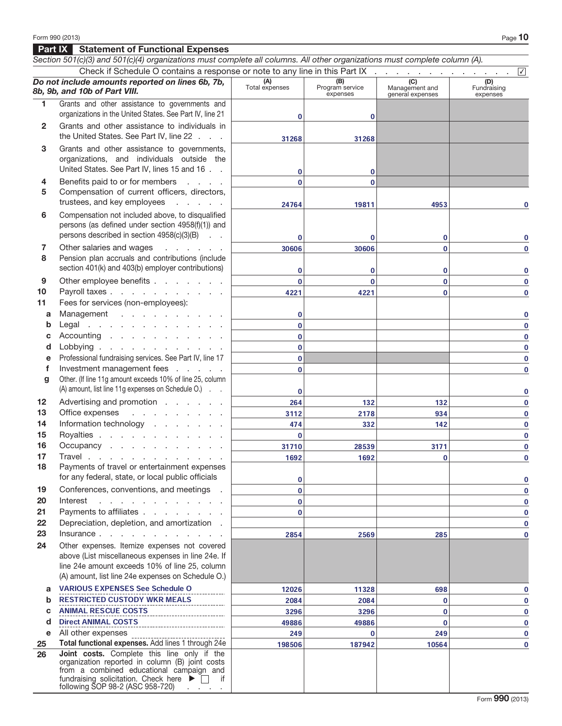following SOP 98-2 (ASC 958-720)

Form 990 (2013) Page  $\bf 10$ Part IX Statement of Functional Expenses Section 501(c)(3) and 501(c)(4) organizations must complete all columns. All other organizations must complete column (A). Check if Schedule O contains a response or note to any line in this Part IX Do not include amounts reported on lines 6b, 7b, 8b, 9b, and 10b of Part VIII. **(A)**<br>Total expenses (B)<br>Program service expenses **(C)**<br>Management and general expenses **(D)**<br>Fundraising expenses 1 Grants and other assistance to governments and organizations in the United States. See Part IV, line 21 2 Grants and other assistance to individuals in the United States. See Part IV, line 22 . . . 3 Grants and other assistance to governments, organizations, and individuals outside the United States. See Part IV, lines 15 and 16 . . 4 Benefits paid to or for members . . . . 5 Compensation of current officers, directors, trustees, and key employees . . . . . 6 Compensation not included above, to disqualified persons (as defined under section 4958(f)(1)) and persons described in section 4958(c)(3)(B) . . 7 Other salaries and wages . . . . . . 8 Pension plan accruals and contributions (include section 401(k) and 403(b) employer contributions) 9 Other employee benefits . . . . . . . 10 Payroll taxes . . . . . . . . . . . 11 Fees for services (non-employees): a Management . . . . . . . . . . **b** Legal . . . . . . . . . . . . . c Accounting  $\ldots$  . . . . . . . . . d Lobbying . . . . . . . . . e Professional fundraising services. See Part IV, line 17 f Investment management fees . . . . . g Other. (If line 11g amount exceeds 10% of line 25, column (A) amount, list line 11g expenses on Schedule O.) . . 12 Advertising and promotion . . . . . . 13 Office expenses . . . . . . . . . 14 Information technology . . . . . . 15 Royalties . . . . . . . . . **16** Occupancy . . . . . . . . . . . 17 Travel . . . . . . . . . . . . . 18 Payments of travel or entertainment expenses for any federal, state, or local public officials 19 Conferences, conventions, and meetings . 20 Interest . . . . . . . . . . . 21 Payments to affiliates  $\ldots$  . . . . . 22 Depreciation, depletion, and amortization. 23 Insurance . . . . . . . . . . . . 24 Other expenses. Itemize expenses not covered above (List miscellaneous expenses in line 24e. If line 24e amount exceeds 10% of line 25, column (A) amount, list line 24e expenses on Schedule O.) a b c d e All other expenses 25 Total functional expenses. Add lines 1 through 24e 26 Joint costs. Complete this line only if the organization reported in column (B) joint costs from a combined educational campaign and fundraising solicitation. Check here  $\blacktriangleright$   $\Box$  if ✔  $\overline{0}$  0 31268 31268  $\overline{0}$  0  $\overline{0}$  0 24764 19811 4953 0  $\begin{array}{ccccccc} 0 & & & 0 & & & 0 \end{array}$ 30606 30606 0 0  $\begin{array}{ccccccc} 0 & & & 0 & & & 0 \end{array}$  $\begin{array}{ccccccc} 0 & & & 0 & & & 0 \end{array}$ 4221 4221 0 0 0 0 0 0 0 0 0 0 0 0 0 0 0 0 264 132 132 132 0 3112 2178 934 0 474 332 142 0 0 0  $\frac{31/10}{0}$  28539 31/1 31/1 0 1692 1692 0 0 0 0 0 0 0 0 0 0 0 2854 2569 285 0 VARIOUS EXPENSES See Schedule O 12026 11328 698 698 0 **RESTRICTED CUSTODY WKR MEALS 2084** 2084 2084 2084 0 0 ANIMAL RESCUE COSTS 3296 3296 0 0 Direct ANIMAL COSTS 49886 49886 0 0 249 0 249 0 249 0 249 0 249 0 249 0 249 0 249 0 249 0 249 0 249 0 249 0 249 0 249 0 249 0 249 0 249 0 249 0 24 198506 187942 10564 198506 198506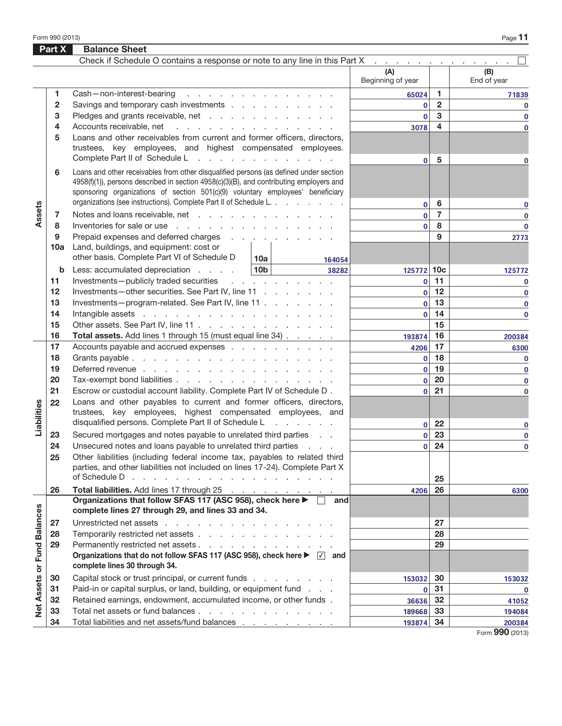Form 990 (2013) Page

|                      | Part X         | <b>Balance Sheet</b>                                                                                                                                                                                                                                                                                                                    |                                                 |                              |                |                    |
|----------------------|----------------|-----------------------------------------------------------------------------------------------------------------------------------------------------------------------------------------------------------------------------------------------------------------------------------------------------------------------------------------|-------------------------------------------------|------------------------------|----------------|--------------------|
|                      |                | Check if Schedule O contains a response or note to any line in this Part X                                                                                                                                                                                                                                                              |                                                 |                              |                |                    |
|                      |                |                                                                                                                                                                                                                                                                                                                                         |                                                 | (A)<br>Beginning of year     |                | (B)<br>End of year |
|                      | 1.             | Cash-non-interest-bearing                                                                                                                                                                                                                                                                                                               | design and contract the contract of the con-    | 65024                        | 1.             | 71839              |
|                      | $\overline{2}$ | Savings and temporary cash investments                                                                                                                                                                                                                                                                                                  |                                                 | $\mathbf 0$                  | $\overline{2}$ | 0                  |
|                      | 3              | Pledges and grants receivable, net                                                                                                                                                                                                                                                                                                      |                                                 | $\mathbf{0}$                 | 3              | $\mathbf 0$        |
|                      | 4              | Accounts receivable, net                                                                                                                                                                                                                                                                                                                | the contract of the contract of the contract of | 3078                         | 4              | $\bf{0}$           |
|                      | 5              | Loans and other receivables from current and former officers, directors,<br>trustees, key employees, and highest compensated employees.                                                                                                                                                                                                 |                                                 |                              |                |                    |
|                      |                | Complete Part II of Schedule L                                                                                                                                                                                                                                                                                                          |                                                 | $\mathbf{0}$                 | 5              | 0                  |
|                      | 6              | Loans and other receivables from other disqualified persons (as defined under section<br>4958(f)(1)), persons described in section 4958(c)(3)(B), and contributing employers and<br>sponsoring organizations of section 501(c)(9) voluntary employees' beneficiary<br>organizations (see instructions). Complete Part II of Schedule L. |                                                 |                              |                |                    |
|                      |                |                                                                                                                                                                                                                                                                                                                                         |                                                 | $\mathbf 0$                  | 6              | 0                  |
| Assets               | 7              | Notes and loans receivable, net                                                                                                                                                                                                                                                                                                         |                                                 | $\mathbf{0}$                 | $\overline{7}$ | $\bf{0}$           |
|                      | 8              | Inventories for sale or use                                                                                                                                                                                                                                                                                                             |                                                 | $\mathbf{0}$                 | 8              | $\mathbf 0$        |
|                      | 9<br>10a       | Prepaid expenses and deferred charges<br>Land, buildings, and equipment: cost or<br>other basis. Complete Part VI of Schedule D                                                                                                                                                                                                         |                                                 |                              | 9              | 2773               |
|                      |                | Less: accumulated depreciation                                                                                                                                                                                                                                                                                                          | 10a<br>164054<br> 10b                           |                              |                |                    |
|                      | b              | Investments-publicly traded securities                                                                                                                                                                                                                                                                                                  | 38282                                           | 125772 10c                   | 11             | 125772             |
|                      | 11<br>12       | Investments-other securities. See Part IV, line 11                                                                                                                                                                                                                                                                                      | and a straight and a straight                   | $\mathbf 0$                  | 12             | $\mathbf 0$        |
|                      | 13             | Investments-program-related. See Part IV, line 11                                                                                                                                                                                                                                                                                       |                                                 | $\mathbf{0}$<br>$\mathbf{0}$ | 13             | $\mathbf 0$        |
|                      | 14             |                                                                                                                                                                                                                                                                                                                                         |                                                 | $\mathbf{0}$                 | 14             | $\mathbf 0$        |
|                      | 15             | Other assets. See Part IV, line 11                                                                                                                                                                                                                                                                                                      |                                                 |                              | 15             | $\mathbf 0$        |
|                      | 16             | Total assets. Add lines 1 through 15 (must equal line 34)                                                                                                                                                                                                                                                                               |                                                 |                              | 16             |                    |
|                      | 17             | Accounts payable and accrued expenses                                                                                                                                                                                                                                                                                                   |                                                 | 193874<br>4206               | 17             | 200384<br>6300     |
|                      | 18             |                                                                                                                                                                                                                                                                                                                                         |                                                 | $\mathbf 0$                  | 18             | $\mathbf 0$        |
|                      | 19             |                                                                                                                                                                                                                                                                                                                                         |                                                 | $\mathbf{0}$                 | 19             | $\mathbf 0$        |
|                      | 20             | Tax-exempt bond liabilities                                                                                                                                                                                                                                                                                                             |                                                 | $\mathbf 0$                  | 20             | 0                  |
|                      | 21             | Escrow or custodial account liability. Complete Part IV of Schedule D.                                                                                                                                                                                                                                                                  |                                                 | $\mathbf{0}$                 | 21             | $\bf{0}$           |
|                      | 22             | Loans and other payables to current and former officers, directors,                                                                                                                                                                                                                                                                     |                                                 |                              |                |                    |
| Liabilities          |                | trustees, key employees, highest compensated employees, and<br>disqualified persons. Complete Part II of Schedule L                                                                                                                                                                                                                     |                                                 |                              | 22             |                    |
|                      | 23             |                                                                                                                                                                                                                                                                                                                                         |                                                 | 0                            | 23             | 0                  |
|                      | 24             | Secured mortgages and notes payable to unrelated third parties<br>Unsecured notes and loans payable to unrelated third parties                                                                                                                                                                                                          |                                                 | $\mathbf{0}$<br>$\mathbf{0}$ | 24             | $\mathbf 0$        |
|                      | 25             | Other liabilities (including federal income tax, payables to related third                                                                                                                                                                                                                                                              |                                                 |                              |                | 0                  |
|                      |                | parties, and other liabilities not included on lines 17-24). Complete Part X                                                                                                                                                                                                                                                            |                                                 |                              | 25             |                    |
|                      | 26             | Total liabilities. Add lines 17 through 25                                                                                                                                                                                                                                                                                              |                                                 | 4206                         | 26             | 6300               |
| <b>Fund Balances</b> |                | Organizations that follow SFAS 117 (ASC 958), check here ▶ □<br>complete lines 27 through 29, and lines 33 and 34.                                                                                                                                                                                                                      | and                                             |                              |                |                    |
|                      | 27             | Unrestricted net assets                                                                                                                                                                                                                                                                                                                 |                                                 |                              | 27             |                    |
|                      | 28             | Temporarily restricted net assets                                                                                                                                                                                                                                                                                                       |                                                 |                              | 28             |                    |
|                      | 29             | Permanently restricted net assets                                                                                                                                                                                                                                                                                                       |                                                 |                              | 29             |                    |
|                      |                | Organizations that do not follow SFAS 117 (ASC 958), check here ▶ 7 and<br>complete lines 30 through 34.                                                                                                                                                                                                                                |                                                 |                              |                |                    |
|                      | 30             | Capital stock or trust principal, or current funds                                                                                                                                                                                                                                                                                      |                                                 | 153032                       | 30             | 153032             |
|                      | 31             | Paid-in or capital surplus, or land, building, or equipment fund                                                                                                                                                                                                                                                                        |                                                 | 0                            | 31             | $\bf{0}$           |
| Net Assets or        | 32             | Retained earnings, endowment, accumulated income, or other funds.                                                                                                                                                                                                                                                                       |                                                 | 36636 32                     |                | 41052              |
|                      | 33             | Total net assets or fund balances                                                                                                                                                                                                                                                                                                       |                                                 | 189668 33                    |                | 194084             |
|                      | 34             | Total liabilities and net assets/fund balances                                                                                                                                                                                                                                                                                          |                                                 | 193874                       | 34             | 200384             |
|                      |                |                                                                                                                                                                                                                                                                                                                                         |                                                 |                              |                | Form 990 (2013)    |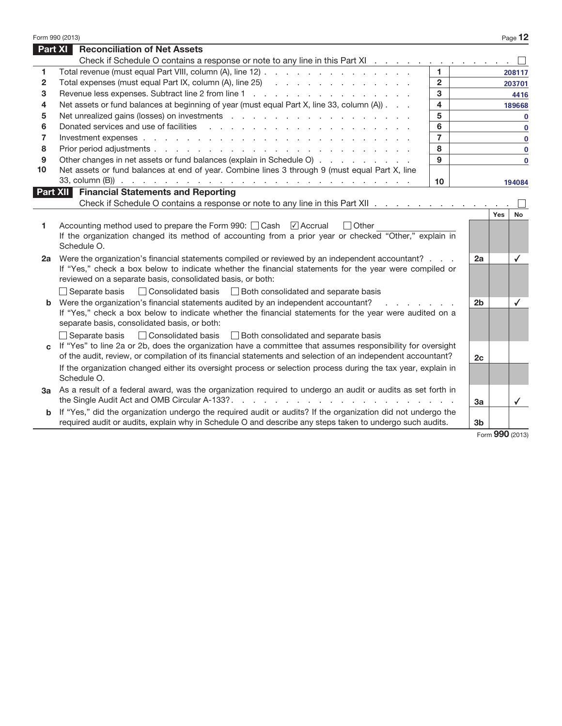|              | <b>Part XI</b> Reconciliation of Net Assets                                                                                                                                                                                                                               |                         |                |             |
|--------------|---------------------------------------------------------------------------------------------------------------------------------------------------------------------------------------------------------------------------------------------------------------------------|-------------------------|----------------|-------------|
|              | Check if Schedule O contains a response or note to any line in this Part XI                                                                                                                                                                                               |                         |                |             |
| 1            | Total revenue (must equal Part VIII, column (A), line 12)                                                                                                                                                                                                                 | $\blacksquare$          |                | 208117      |
| $\mathbf{2}$ | Total expenses (must equal Part IX, column (A), line 25) (all contacts and contact and contact and contact and contact and contact and contact and contact and contact and contact and contact and contact and contact and con                                            | $\overline{2}$          |                | 203701      |
| 3            |                                                                                                                                                                                                                                                                           | 3                       |                | 4416        |
| 4            | Net assets or fund balances at beginning of year (must equal Part X, line 33, column (A))                                                                                                                                                                                 | $\overline{\mathbf{4}}$ |                | 189668      |
| 5            |                                                                                                                                                                                                                                                                           | 5                       |                | $\mathbf 0$ |
| 6            |                                                                                                                                                                                                                                                                           | 6                       |                | $\mathbf 0$ |
| 7            |                                                                                                                                                                                                                                                                           | $\overline{7}$          |                | $\mathbf 0$ |
| 8            |                                                                                                                                                                                                                                                                           | 8                       |                | $\mathbf 0$ |
| 9            | Other changes in net assets or fund balances (explain in Schedule O)                                                                                                                                                                                                      | 9                       |                | $\bf{0}$    |
| 10           | Net assets or fund balances at end of year. Combine lines 3 through 9 (must equal Part X, line                                                                                                                                                                            |                         |                |             |
|              |                                                                                                                                                                                                                                                                           | 10 <sup>1</sup>         |                | 194084      |
|              | <b>Part XII</b> Financial Statements and Reporting                                                                                                                                                                                                                        |                         |                |             |
|              | Check if Schedule O contains a response or note to any line in this Part XII                                                                                                                                                                                              |                         |                |             |
|              | Accounting method used to prepare the Form 990: $\Box$ Cash $\Box$ Accrual<br>$\Box$ Other<br>If the organization changed its method of accounting from a prior year or checked "Other," explain in                                                                       |                         |                |             |
|              | Schedule O.                                                                                                                                                                                                                                                               |                         |                |             |
|              | Were the organization's financial statements compiled or reviewed by an independent accountant?<br>If "Yes," check a box below to indicate whether the financial statements for the year were compiled or                                                                 |                         | 2a             | ✓           |
|              | reviewed on a separate basis, consolidated basis, or both:                                                                                                                                                                                                                |                         |                |             |
| 2a           | $\Box$ Separate basis $\Box$ Consolidated basis $\Box$ Both consolidated and separate basis                                                                                                                                                                               |                         |                |             |
|              | Were the organization's financial statements audited by an independent accountant?<br>and a state of the state<br>If "Yes," check a box below to indicate whether the financial statements for the year were audited on a<br>separate basis, consolidated basis, or both: |                         | 2 <sub>b</sub> | ✓           |
|              | □ Consolidated basis □ Both consolidated and separate basis<br>$\Box$ Separate basis                                                                                                                                                                                      |                         |                |             |
| <sub>C</sub> | If "Yes" to line 2a or 2b, does the organization have a committee that assumes responsibility for oversight<br>of the audit, review, or compilation of its financial statements and selection of an independent accountant?                                               |                         | 2c             |             |
|              | If the organization changed either its oversight process or selection process during the tax year, explain in<br>Schedule O.                                                                                                                                              |                         |                |             |
|              | As a result of a federal award, was the organization required to undergo an audit or audits as set forth in                                                                                                                                                               |                         | 3a             |             |
| За<br>b      | If "Yes," did the organization undergo the required audit or audits? If the organization did not undergo the                                                                                                                                                              |                         |                | ✓           |

|  |  | Form $990$ (2013) |
|--|--|-------------------|
|--|--|-------------------|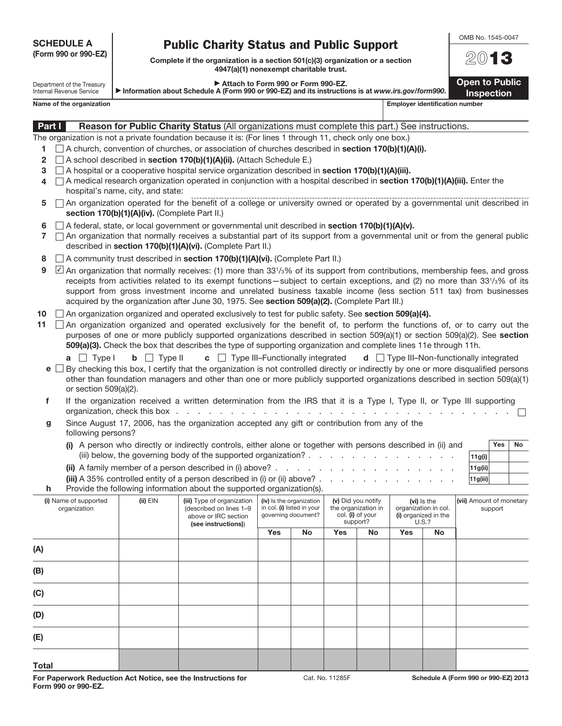SCHEDULE A

## Public Charity Status and Public Support

Complete if the organization is a section 501(c)(3) organization or a section 4947(a)(1) nonexempt charitable trust.

#### Attach to Form 990 or Form 990-FZ.

Department of the Treasury a Information about Schedule A (Form 990 or 990-EZ) and its instructions is at www.irs.gov/form990.

Name of the organization extensive properties and the organization number of the organization number Part I Reason for Public Charity Status (All organizations must complete this part.) See instructions. The organization is not a private foundation because it is: (For lines 1 through 11, check only one box.)

1  $\Box$  A church, convention of churches, or association of churches described in section 170(b)(1)(A)(i).

- 2  $\Box$  A school described in section 170(b)(1)(A)(ii). (Attach Schedule E.)
- 3  $\Box$  A hospital or a cooperative hospital service organization described in section 170(b)(1)(A)(iii).
- 4  $\Box$  A medical research organization operated in conjunction with a hospital described in section 170(b)(1)(A)(iii). Enter the hospital's name, city, and state:
- $5 \cap$  An organization operated for the benefit of a college or university owned or operated by a governmental unit described in section 170(b)(1)(A)(iv). (Complete Part II.)
- 6  $\Box$  A federal, state, or local government or governmental unit described in section 170(b)(1)(A)(v).
- $7 \cap$  An organization that normally receives a substantial part of its support from a governmental unit or from the general public described in section 170(b)(1)(A)(vi). (Complete Part II.)
- 8  $\Box$  A community trust described in section 170(b)(1)(A)(vi). (Complete Part II.)
- **9**  $\Box$  An organization that normally receives: (1) more than 33<sup>1</sup>/<sub>3</sub>% of its support from contributions, membership fees, and gross receipts from activities related to its exempt functions—subject to certain exceptions, and (2) no more than 33<sup>1</sup> /3% of its support from gross investment income and unrelated business taxable income (less section 511 tax) from businesses acquired by the organization after June 30, 1975. See section 509(a)(2). (Complete Part III.)
- 10  $\Box$  An organization organized and operated exclusively to test for public safety. See section 509(a)(4).
- 11  $\Box$  An organization organized and operated exclusively for the benefit of, to perform the functions of, or to carry out the purposes of one or more publicly supported organizations described in section 509(a)(1) or section 509(a)(2). See section 509(a)(3). Check the box that describes the type of supporting organization and complete lines 11e through 11h.

|  |  |  | <b>a</b> $\Box$ Type I <b>b</b> $\Box$ Type II <b>c</b> $\Box$ Type III–Functionally integrated <b>d</b> $\Box$ Type III–Non-functionally integrated |
|--|--|--|------------------------------------------------------------------------------------------------------------------------------------------------------|
|--|--|--|------------------------------------------------------------------------------------------------------------------------------------------------------|

- $e \Box$  By checking this box, I certify that the organization is not controlled directly or indirectly by one or more disqualified persons other than foundation managers and other than one or more publicly supported organizations described in section 509(a)(1) or section 509(a)(2).
- f If the organization received a written determination from the IRS that it is a Type I, Type II, or Type III supporting organization, check this box . . . . . . . . . . . . . . . . . . . . . . . . . . . . . . .
- g Since August 17, 2006, has the organization accepted any gift or contribution from any of the following persons?

| (i) A person who directly or indirectly controls, either alone or together with persons described in (ii) and       |         | Yes | 'No |
|---------------------------------------------------------------------------------------------------------------------|---------|-----|-----|
| (iii) below, the governing body of the supported organization? $\ldots$ , $\ldots$ , $\ldots$ , $\ldots$ , $\ldots$ | 11g(i)  |     |     |
| (ii) A family member of a person described in (i) above?.                                                           | 11g(ii) |     |     |

| (iii) A 35% controlled entity of a person described in (i) or (ii) above? $\ldots$ , $\ldots$ , $\ldots$ , $\ldots$ , $\ldots$ | 11g(iii) |  |
|--------------------------------------------------------------------------------------------------------------------------------|----------|--|
| <b>h</b> Provide the following information about the supported organization(s).                                                |          |  |

| (i) Name of supported<br>organization | $(ii)$ EIN | (iii) Type of organization<br>(described on lines 1-9<br>above or IRC section<br>(see instructions)) | (iv) Is the organization<br>in col. (i) listed in your<br>governing document? |    | (v) Did you notify<br>the organization in<br>col. (i) of your<br>support? |    | (vi) is the<br>organization in col.<br>(i) organized in the<br><b>U.S.?</b> |    | (vii) Amount of monetary<br>support |  |
|---------------------------------------|------------|------------------------------------------------------------------------------------------------------|-------------------------------------------------------------------------------|----|---------------------------------------------------------------------------|----|-----------------------------------------------------------------------------|----|-------------------------------------|--|
|                                       |            |                                                                                                      | Yes                                                                           | No | Yes                                                                       | No | Yes                                                                         | No |                                     |  |
| (A)                                   |            |                                                                                                      |                                                                               |    |                                                                           |    |                                                                             |    |                                     |  |
| (B)                                   |            |                                                                                                      |                                                                               |    |                                                                           |    |                                                                             |    |                                     |  |
| (C)                                   |            |                                                                                                      |                                                                               |    |                                                                           |    |                                                                             |    |                                     |  |
| (D)                                   |            |                                                                                                      |                                                                               |    |                                                                           |    |                                                                             |    |                                     |  |
| (E)                                   |            |                                                                                                      |                                                                               |    |                                                                           |    |                                                                             |    |                                     |  |
| <b>Total</b>                          |            |                                                                                                      |                                                                               |    |                                                                           |    |                                                                             |    |                                     |  |



**Open to Public** 

Inspection

| SCHEDULE A           |  |
|----------------------|--|
| (Form 990 or 990-EZ) |  |

Internal Revenue Service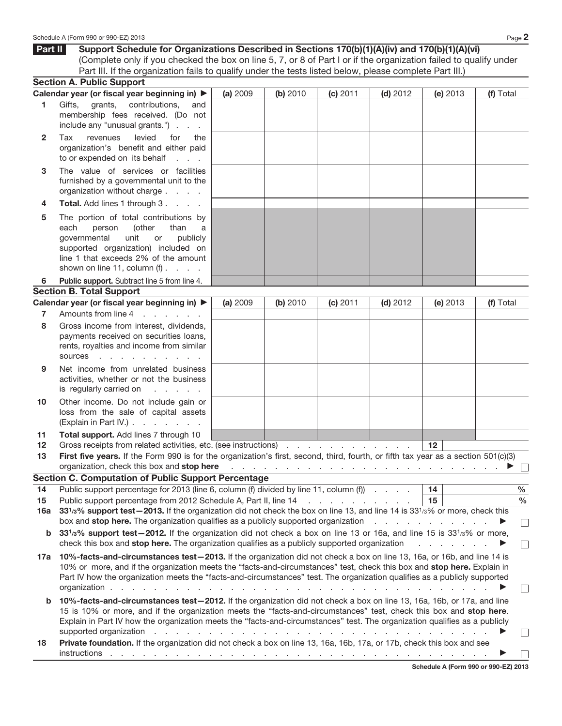|                | Schedule A (Form 990 or 990-EZ) 2013                                                                                                                                                                                                                                                                                                                                                                                                                                                                                                                                                                                             |          |          |          |            |                             | Page 2                                                                                                               |
|----------------|----------------------------------------------------------------------------------------------------------------------------------------------------------------------------------------------------------------------------------------------------------------------------------------------------------------------------------------------------------------------------------------------------------------------------------------------------------------------------------------------------------------------------------------------------------------------------------------------------------------------------------|----------|----------|----------|------------|-----------------------------|----------------------------------------------------------------------------------------------------------------------|
| Part II        | Support Schedule for Organizations Described in Sections 170(b)(1)(A)(iv) and 170(b)(1)(A)(vi)                                                                                                                                                                                                                                                                                                                                                                                                                                                                                                                                   |          |          |          |            |                             |                                                                                                                      |
|                | (Complete only if you checked the box on line 5, 7, or 8 of Part I or if the organization failed to qualify under                                                                                                                                                                                                                                                                                                                                                                                                                                                                                                                |          |          |          |            |                             |                                                                                                                      |
|                | Part III. If the organization fails to qualify under the tests listed below, please complete Part III.)                                                                                                                                                                                                                                                                                                                                                                                                                                                                                                                          |          |          |          |            |                             |                                                                                                                      |
|                | <b>Section A. Public Support</b>                                                                                                                                                                                                                                                                                                                                                                                                                                                                                                                                                                                                 |          |          |          |            |                             |                                                                                                                      |
|                | Calendar year (or fiscal year beginning in) ▶                                                                                                                                                                                                                                                                                                                                                                                                                                                                                                                                                                                    | (a) 2009 | (b) 2010 | (c) 2011 | $(d)$ 2012 | (e) 2013                    | (f) Total                                                                                                            |
| 1              | grants,<br>contributions,<br>Gifts,<br>and<br>membership fees received. (Do not<br>include any "unusual grants.")                                                                                                                                                                                                                                                                                                                                                                                                                                                                                                                |          |          |          |            |                             |                                                                                                                      |
| $\mathbf{2}$   | levied<br>Tax<br>revenues<br>for<br>the<br>organization's benefit and either paid<br>to or expended on its behalf<br>$1 - 1 - 1$                                                                                                                                                                                                                                                                                                                                                                                                                                                                                                 |          |          |          |            |                             |                                                                                                                      |
| 3              | The value of services or facilities<br>furnished by a governmental unit to the<br>organization without charge                                                                                                                                                                                                                                                                                                                                                                                                                                                                                                                    |          |          |          |            |                             |                                                                                                                      |
| 4              | Total. Add lines 1 through 3.                                                                                                                                                                                                                                                                                                                                                                                                                                                                                                                                                                                                    |          |          |          |            |                             |                                                                                                                      |
| 5              | The portion of total contributions by<br>each<br>(other<br>person<br>than<br>a<br>unit<br>governmental<br>publicly<br>or<br>supported organization) included on<br>line 1 that exceeds 2% of the amount<br>shown on line 11, column $(f)$ .                                                                                                                                                                                                                                                                                                                                                                                      |          |          |          |            |                             |                                                                                                                      |
| 6              | Public support. Subtract line 5 from line 4.                                                                                                                                                                                                                                                                                                                                                                                                                                                                                                                                                                                     |          |          |          |            |                             |                                                                                                                      |
|                | <b>Section B. Total Support</b>                                                                                                                                                                                                                                                                                                                                                                                                                                                                                                                                                                                                  |          |          |          |            |                             |                                                                                                                      |
|                | Calendar year (or fiscal year beginning in) ▶                                                                                                                                                                                                                                                                                                                                                                                                                                                                                                                                                                                    | (a) 2009 | (b) 2010 | (c) 2011 | $(d)$ 2012 | (e) 2013                    | (f) Total                                                                                                            |
| $\overline{7}$ | Amounts from line 4<br>and the company of the second                                                                                                                                                                                                                                                                                                                                                                                                                                                                                                                                                                             |          |          |          |            |                             |                                                                                                                      |
| 8              | Gross income from interest, dividends,<br>payments received on securities loans,<br>rents, royalties and income from similar<br>sources                                                                                                                                                                                                                                                                                                                                                                                                                                                                                          |          |          |          |            |                             |                                                                                                                      |
| 9              | Net income from unrelated business<br>activities, whether or not the business<br>is regularly carried on<br>and a state of                                                                                                                                                                                                                                                                                                                                                                                                                                                                                                       |          |          |          |            |                             |                                                                                                                      |
| 10             | Other income. Do not include gain or<br>loss from the sale of capital assets<br>(Explain in Part IV.)                                                                                                                                                                                                                                                                                                                                                                                                                                                                                                                            |          |          |          |            |                             |                                                                                                                      |
| 11             | Total support. Add lines 7 through 10                                                                                                                                                                                                                                                                                                                                                                                                                                                                                                                                                                                            |          |          |          |            |                             |                                                                                                                      |
| 12             | Gross receipts from related activities, etc. (see instructions)                                                                                                                                                                                                                                                                                                                                                                                                                                                                                                                                                                  |          |          |          |            | 12                          |                                                                                                                      |
| 13             | First five years. If the Form 990 is for the organization's first, second, third, fourth, or fifth tax year as a section 501(c)(3)                                                                                                                                                                                                                                                                                                                                                                                                                                                                                               |          |          |          |            |                             |                                                                                                                      |
|                | organization, check this box and stop here                                                                                                                                                                                                                                                                                                                                                                                                                                                                                                                                                                                       |          |          |          |            |                             | $\mathcal{L}$ . The set of the set of the set of the set of the set of the set of $\mathcal{L} \subseteq \mathbb{R}$ |
|                | <b>Section C. Computation of Public Support Percentage</b><br>Public support percentage for 2013 (line 6, column (f) divided by line 11, column (f)                                                                                                                                                                                                                                                                                                                                                                                                                                                                              |          |          |          |            | 14                          | $\%$                                                                                                                 |
| 14<br>15       | Public support percentage from 2012 Schedule A, Part II, line 14                                                                                                                                                                                                                                                                                                                                                                                                                                                                                                                                                                 |          |          |          |            | 15                          | $\frac{0}{0}$                                                                                                        |
| 16a            | 331/3% support test-2013. If the organization did not check the box on line 13, and line 14 is 331/3% or more, check this<br>box and <b>stop here.</b> The organization qualifies as a publicly supported organization                                                                                                                                                                                                                                                                                                                                                                                                           |          |          |          |            |                             | ▶<br>$\Box$                                                                                                          |
| b              | 33 <sup>1</sup> / <sub>3</sub> % support test-2012. If the organization did not check a box on line 13 or 16a, and line 15 is 33 <sup>1</sup> / <sub>3</sub> % or more,                                                                                                                                                                                                                                                                                                                                                                                                                                                          |          |          |          |            |                             |                                                                                                                      |
|                | check this box and stop here. The organization qualifies as a publicly supported organization                                                                                                                                                                                                                                                                                                                                                                                                                                                                                                                                    |          |          |          |            | and a state of the state of | ▶<br>$\mathcal{L}_{\mathcal{A}}$                                                                                     |
| 17а            | 10%-facts-and-circumstances test-2013. If the organization did not check a box on line 13, 16a, or 16b, and line 14 is<br>10% or more, and if the organization meets the "facts-and-circumstances" test, check this box and stop here. Explain in<br>Part IV how the organization meets the "facts-and-circumstances" test. The organization qualifies as a publicly supported<br>and a constitution of the constitution of the constitution of the constitution of the constitution of the constitution of the constitution of the constitution of the constitution of the constitution of the constitution of<br>organization. |          |          |          |            |                             | $\mathcal{L}_{\mathcal{A}}$                                                                                          |
| b              | 10%-facts-and-circumstances test-2012. If the organization did not check a box on line 13, 16a, 16b, or 17a, and line<br>15 is 10% or more, and if the organization meets the "facts-and-circumstances" test, check this box and stop here.<br>Explain in Part IV how the organization meets the "facts-and-circumstances" test. The organization qualifies as a publicly<br>supported organization response to the contract of the contract of the contract of the contract of the contract of the contract of the contract of the contract of the contract of the contract of the contract of the contrac                      |          |          |          |            |                             |                                                                                                                      |
| 18.            | <b>Private foundation.</b> If the organization did not check a box on line 13, 16a, 16b, 17a, or 17b, check this box and see                                                                                                                                                                                                                                                                                                                                                                                                                                                                                                     |          |          |          |            |                             |                                                                                                                      |

18 Private foundation. If the organization did not check a box on line 13, 16a, 16b, 17a, or 17b, check this box and see  $\Box$ instructions . . . . . . . . . . . . . . . . . . . . . . . . . . . . . . . . . . . a

Schedule A (Form 990 or 990-EZ) 2013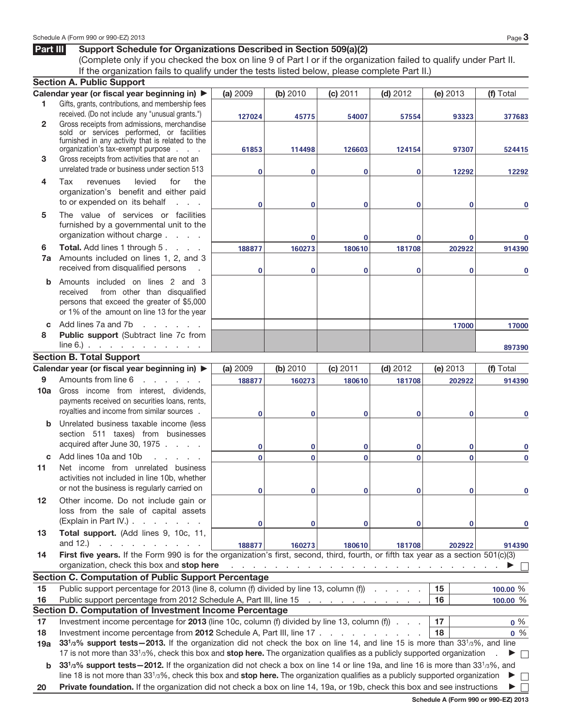#### Part III Support Schedule for Organizations Described in Section 509(a)(2)

(Complete only if you checked the box on line 9 of Part I or if the organization failed to qualify under Part II. If the organization fails to qualify under the tests listed below, please complete Part II.)

|              | <b>Section A. Public Support</b>                                                                                                                                  |                |          |                                                                                 |            |              |                          |
|--------------|-------------------------------------------------------------------------------------------------------------------------------------------------------------------|----------------|----------|---------------------------------------------------------------------------------|------------|--------------|--------------------------|
|              | Calendar year (or fiscal year beginning in) ▶                                                                                                                     | (a) 2009       | (b) 2010 | (c) 2011                                                                        | $(d)$ 2012 | (e) 2013     | (f) Total                |
| 1            | Gifts, grants, contributions, and membership fees                                                                                                                 |                |          |                                                                                 |            |              |                          |
|              | received. (Do not include any "unusual grants.")                                                                                                                  | 127024         | 45775    | 54007                                                                           | 57554      | 93323        | 377683                   |
| $\mathbf{2}$ | Gross receipts from admissions, merchandise<br>sold or services performed, or facilities                                                                          |                |          |                                                                                 |            |              |                          |
|              | furnished in any activity that is related to the                                                                                                                  |                |          |                                                                                 |            |              |                          |
|              | organization's tax-exempt purpose                                                                                                                                 | 61853          | 114498   | 126603                                                                          | 124154     | 97307        | 524415                   |
| 3            | Gross receipts from activities that are not an                                                                                                                    |                |          |                                                                                 |            |              |                          |
|              | unrelated trade or business under section 513                                                                                                                     | $\bf{0}$       | $\bf{0}$ | $\bf{0}$                                                                        | $\bf{0}$   | 12292        | 12292                    |
| 4            | Tax<br>revenues<br>levied<br>for<br>the                                                                                                                           |                |          |                                                                                 |            |              |                          |
|              | organization's benefit and either paid                                                                                                                            |                |          |                                                                                 |            |              |                          |
|              | to or expended on its behalf<br>and a state                                                                                                                       | $\bf{0}$       | $\bf{0}$ | $\bf{0}$                                                                        | $\bf{0}$   | 0            | 0                        |
| 5            | The value of services or facilities                                                                                                                               |                |          |                                                                                 |            |              |                          |
|              | furnished by a governmental unit to the                                                                                                                           |                |          |                                                                                 |            |              |                          |
|              | organization without charge                                                                                                                                       |                | $\bf{0}$ | $\bf{0}$                                                                        | $\bf{0}$   | 0            |                          |
| 6            | Total. Add lines 1 through 5.                                                                                                                                     | 188877         | 160273   | 180610                                                                          | 181708     | 202922       | 914390                   |
| 7a           | Amounts included on lines 1, 2, and 3<br>received from disqualified persons                                                                                       |                |          |                                                                                 |            |              |                          |
|              |                                                                                                                                                                   | $\bf{0}$       | $\bf{0}$ | $\Omega$                                                                        | $\bf{0}$   | 0            | 0                        |
| b            | Amounts included on lines 2 and 3                                                                                                                                 |                |          |                                                                                 |            |              |                          |
|              | from other than disqualified<br>received<br>persons that exceed the greater of \$5,000                                                                            |                |          |                                                                                 |            |              |                          |
|              | or 1% of the amount on line 13 for the year                                                                                                                       |                |          |                                                                                 |            |              |                          |
| C.           | Add lines 7a and 7b<br>and the company of the company                                                                                                             |                |          |                                                                                 |            | 17000        |                          |
| 8            | Public support (Subtract line 7c from                                                                                                                             |                |          |                                                                                 |            |              | 17000                    |
|              | $line 6$ . $\therefore$ $\therefore$ $\therefore$ $\therefore$ $\therefore$ $\therefore$ $\therefore$                                                             |                |          |                                                                                 |            |              | 897390                   |
|              | <b>Section B. Total Support</b>                                                                                                                                   |                |          |                                                                                 |            |              |                          |
|              | Calendar year (or fiscal year beginning in) ▶                                                                                                                     | (a) 2009       | (b) 2010 | (c) 2011                                                                        | $(d)$ 2012 | (e) 2013     | (f) Total                |
| 9            | Amounts from line 6<br>and a state of the state of                                                                                                                | 188877         | 160273   | 180610                                                                          | 181708     | 202922       | 914390                   |
| 10a          | Gross income from interest, dividends,                                                                                                                            |                |          |                                                                                 |            |              |                          |
|              | payments received on securities loans, rents,                                                                                                                     |                |          |                                                                                 |            |              |                          |
|              | royalties and income from similar sources.                                                                                                                        | $\bf{0}$       | $\bf{0}$ | $\bf{0}$                                                                        | $\bf{0}$   | 0            | 0                        |
| $\mathbf b$  | Unrelated business taxable income (less                                                                                                                           |                |          |                                                                                 |            |              |                          |
|              | section 511 taxes) from businesses                                                                                                                                |                |          |                                                                                 |            |              |                          |
|              | acquired after June 30, 1975                                                                                                                                      | 0              | $\bf{0}$ | 0                                                                               | 0          | 0            | 0                        |
| C            | Add lines 10a and 10b<br>and the company                                                                                                                          | $\overline{0}$ | $\bf{0}$ | $\mathbf{0}$                                                                    | $\bf{0}$   | 0            | 0                        |
| 11           | Net income from unrelated business                                                                                                                                |                |          |                                                                                 |            |              |                          |
|              | activities not included in line 10b, whether                                                                                                                      |                |          |                                                                                 |            |              |                          |
|              | or not the business is regularly carried on                                                                                                                       | 0              | 0        |                                                                                 | 0          | $\mathbf{0}$ |                          |
| 12           | Other income. Do not include gain or                                                                                                                              |                |          |                                                                                 |            |              |                          |
|              | loss from the sale of capital assets                                                                                                                              |                |          |                                                                                 |            |              |                          |
|              | (Explain in Part IV.).<br>and a state of the state                                                                                                                | 0              | 0        | 0                                                                               | 0          | 0            | 0                        |
| 13           | Total support. (Add lines 9, 10c, 11,<br>and $12.$ )                                                                                                              |                |          |                                                                                 |            |              |                          |
|              | and a state of the state of<br>First five years. If the Form 990 is for the organization's first, second, third, fourth, or fifth tax year as a section 501(c)(3) | 188877         | 160273   | 180610                                                                          | 181708     | 202922       | 914390                   |
| 14           | organization, check this box and stop here                                                                                                                        |                |          | the contract of the contract of the contract of the contract of the contract of |            |              |                          |
|              | <b>Section C. Computation of Public Support Percentage</b>                                                                                                        |                |          |                                                                                 |            |              |                          |
| 15           | Public support percentage for 2013 (line 8, column (f) divided by line 13, column (f)                                                                             |                |          |                                                                                 |            | 15           | 100.00 %                 |
| 16           | Public support percentage from 2012 Schedule A, Part III, line 15                                                                                                 |                |          | the contract of the contract of the con-                                        |            | 16           | 100.00 %                 |
|              | Section D. Computation of Investment Income Percentage                                                                                                            |                |          |                                                                                 |            |              |                          |
| 17           | Investment income percentage for 2013 (line 10c, column (f) divided by line 13, column (f)                                                                        |                |          |                                                                                 |            | 17           | $0\%$                    |
| 18           | Investment income percentage from 2012 Schedule A, Part III, line 17                                                                                              |                |          |                                                                                 |            | 18           | $0\%$                    |
| 19a          | 33 <sup>1</sup> /3% support tests-2013. If the organization did not check the box on line 14, and line 15 is more than 33 <sup>1</sup> /3%, and line              |                |          |                                                                                 |            |              |                          |
|              | 17 is not more than 33 <sup>1</sup> /3%, check this box and stop here. The organization qualifies as a publicly supported organization                            |                |          |                                                                                 |            |              | $\overline{\phantom{a}}$ |
| b            | 331/3% support tests - 2012. If the organization did not check a box on line 14 or line 19a, and line 16 is more than 331/3%, and                                 |                |          |                                                                                 |            |              |                          |
|              | line 18 is not more than $3313%$ , check this box and stop here. The organization qualifies as a publicly supported organization                                  |                |          |                                                                                 |            |              | $\Box$                   |
| 20           | Private foundation. If the organization did not check a box on line 14, 19a, or 19b, check this box and see instructions                                          |                |          |                                                                                 |            |              |                          |

Schedule A (Form 990 or 990-EZ) 2013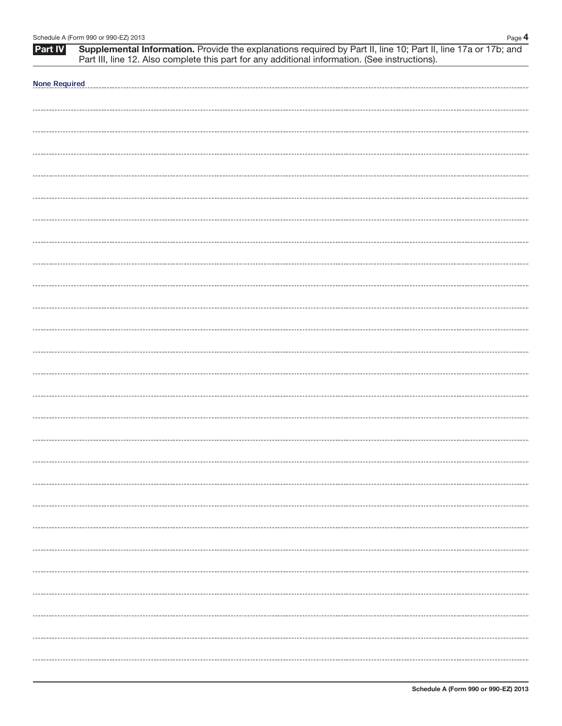|                      | Schedule A (Form 990 or 990-EZ) 2013<br>Page 4                                                                                                                                                                |
|----------------------|---------------------------------------------------------------------------------------------------------------------------------------------------------------------------------------------------------------|
| <b>Part IV</b>       | Supplemental Information. Provide the explanations required by Part II, line 10; Part II, line 17a or 17b; and Part III, line 12. Also complete this part for any additional information. (See instructions). |
| <b>None Required</b> |                                                                                                                                                                                                               |
|                      |                                                                                                                                                                                                               |
|                      |                                                                                                                                                                                                               |
|                      |                                                                                                                                                                                                               |
|                      |                                                                                                                                                                                                               |
|                      |                                                                                                                                                                                                               |
|                      |                                                                                                                                                                                                               |
|                      |                                                                                                                                                                                                               |
|                      |                                                                                                                                                                                                               |
|                      |                                                                                                                                                                                                               |
|                      |                                                                                                                                                                                                               |
|                      |                                                                                                                                                                                                               |
|                      |                                                                                                                                                                                                               |
|                      |                                                                                                                                                                                                               |
|                      |                                                                                                                                                                                                               |
|                      |                                                                                                                                                                                                               |
|                      |                                                                                                                                                                                                               |
|                      |                                                                                                                                                                                                               |
|                      |                                                                                                                                                                                                               |
|                      |                                                                                                                                                                                                               |
|                      |                                                                                                                                                                                                               |
|                      |                                                                                                                                                                                                               |
|                      |                                                                                                                                                                                                               |
|                      |                                                                                                                                                                                                               |
|                      |                                                                                                                                                                                                               |
|                      |                                                                                                                                                                                                               |
|                      |                                                                                                                                                                                                               |
|                      |                                                                                                                                                                                                               |
|                      |                                                                                                                                                                                                               |
|                      |                                                                                                                                                                                                               |
|                      |                                                                                                                                                                                                               |
|                      |                                                                                                                                                                                                               |
|                      |                                                                                                                                                                                                               |
|                      |                                                                                                                                                                                                               |
|                      |                                                                                                                                                                                                               |
|                      |                                                                                                                                                                                                               |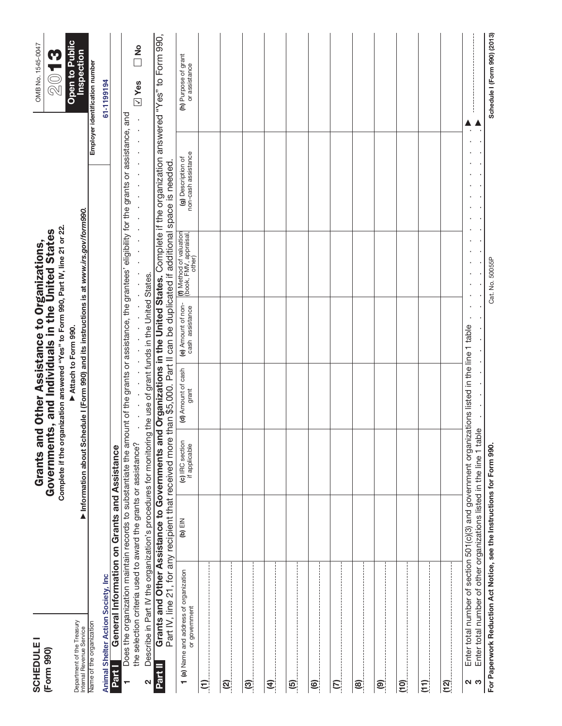| <b>SCHEDULE</b><br>(Form 990)                                          |                                                                                                                                                                         | Grants ar                        | nd Other Assistance to Organizations, | Complete if the organization answered "Yes" to Form 990, Part IV, line 21 or 22.<br>Governments, and Individuals in the United States |                                                                                                                                                            | OMB No. 1545-0047<br><b>9 T</b>                                                                                                             |
|------------------------------------------------------------------------|-------------------------------------------------------------------------------------------------------------------------------------------------------------------------|----------------------------------|---------------------------------------|---------------------------------------------------------------------------------------------------------------------------------------|------------------------------------------------------------------------------------------------------------------------------------------------------------|---------------------------------------------------------------------------------------------------------------------------------------------|
| Department of the Treasury<br>Internal Revenue Service                 |                                                                                                                                                                         |                                  | Attach to Form 990.                   |                                                                                                                                       |                                                                                                                                                            | <b>Open to Public</b><br>Inspection                                                                                                         |
| Name of the organization                                               |                                                                                                                                                                         |                                  |                                       | Information about Schedule I (Form 990) and its instructions is at www.irs.gov/form990.                                               |                                                                                                                                                            | Employer identification number                                                                                                              |
| Animal Shelter Action Society, Inc                                     |                                                                                                                                                                         |                                  |                                       |                                                                                                                                       |                                                                                                                                                            | 61-1199194                                                                                                                                  |
| Part                                                                   | General Information on Grants and Assistance                                                                                                                            |                                  |                                       |                                                                                                                                       |                                                                                                                                                            |                                                                                                                                             |
|                                                                        | the selection criteria used to award the grants or assistance?                                                                                                          |                                  |                                       |                                                                                                                                       | Does the organization maintain records to substantiate the amount of the grants or assistance, the grantees' eligibility for the grants or assistance, and |                                                                                                                                             |
| 2                                                                      | Describe in Part IV the organization's procedures for monitoring the use of grant funds in the United States.                                                           |                                  |                                       | l,<br>ł,<br>l,<br>Ļ,<br>$\cdot$                                                                                                       | $\ddot{\cdot}$<br>$\ddot{\cdot}$<br>$\ddot{\phantom{0}}$<br>$\ddot{\cdot}$<br>$\frac{1}{2}$<br>$\ddot{\phantom{0}}$<br>$\ddot{\cdot}$                      | $\frac{8}{1}$<br>V Yes<br>$\ddot{\phantom{0}}$<br>ł,<br>$\ddot{\phantom{0}}$                                                                |
| Part                                                                   |                                                                                                                                                                         |                                  |                                       | Part IV, line 21, for any recipient that received more than \$5,000. Part II can be duplicated if additional space is needed.         |                                                                                                                                                            | Grants and Other Assistance to Governments and Organizations in the United States. Complete if the organization answered "Yes" to Form 990, |
| 1 (a) Name and address of organization<br>or government                | (b) EIN                                                                                                                                                                 | (c) IRC section<br>if applicable | (d) Amount of cash<br>grant           | (e) Amount of non- (f) Method of valuation<br>cash assistance (book, FMV, appraisal,                                                  | (g) Description of<br>non-cash assistance                                                                                                                  | (h) Purpose of grant<br>or assistance                                                                                                       |
| $\widehat{\tau}$                                                       |                                                                                                                                                                         |                                  |                                       |                                                                                                                                       |                                                                                                                                                            |                                                                                                                                             |
| ପ୍ର                                                                    |                                                                                                                                                                         |                                  |                                       |                                                                                                                                       |                                                                                                                                                            |                                                                                                                                             |
| ඔ                                                                      |                                                                                                                                                                         |                                  |                                       |                                                                                                                                       |                                                                                                                                                            |                                                                                                                                             |
| E                                                                      |                                                                                                                                                                         |                                  |                                       |                                                                                                                                       |                                                                                                                                                            |                                                                                                                                             |
| <u>ම</u>                                                               |                                                                                                                                                                         |                                  |                                       |                                                                                                                                       |                                                                                                                                                            |                                                                                                                                             |
| ම                                                                      |                                                                                                                                                                         |                                  |                                       |                                                                                                                                       |                                                                                                                                                            |                                                                                                                                             |
| ε                                                                      |                                                                                                                                                                         |                                  |                                       |                                                                                                                                       |                                                                                                                                                            |                                                                                                                                             |
| @                                                                      |                                                                                                                                                                         |                                  |                                       |                                                                                                                                       |                                                                                                                                                            |                                                                                                                                             |
| ම                                                                      |                                                                                                                                                                         |                                  |                                       |                                                                                                                                       |                                                                                                                                                            |                                                                                                                                             |
| $\overline{e}$                                                         |                                                                                                                                                                         |                                  |                                       |                                                                                                                                       |                                                                                                                                                            |                                                                                                                                             |
| (11)                                                                   |                                                                                                                                                                         |                                  |                                       |                                                                                                                                       |                                                                                                                                                            |                                                                                                                                             |
| (12)                                                                   |                                                                                                                                                                         |                                  |                                       |                                                                                                                                       |                                                                                                                                                            |                                                                                                                                             |
| လ က                                                                    | Enter total number of section 501(c)(3) and government organizations listed in the line 1 table<br>Enter total number of other organizations listed in the line 1 table |                                  |                                       |                                                                                                                                       |                                                                                                                                                            |                                                                                                                                             |
| For Paperwork Reduction Act Notice, see the Instructions for Form 990. |                                                                                                                                                                         |                                  |                                       | Cat. No. 50055P                                                                                                                       |                                                                                                                                                            | Schedule I (Form 990) (2013)                                                                                                                |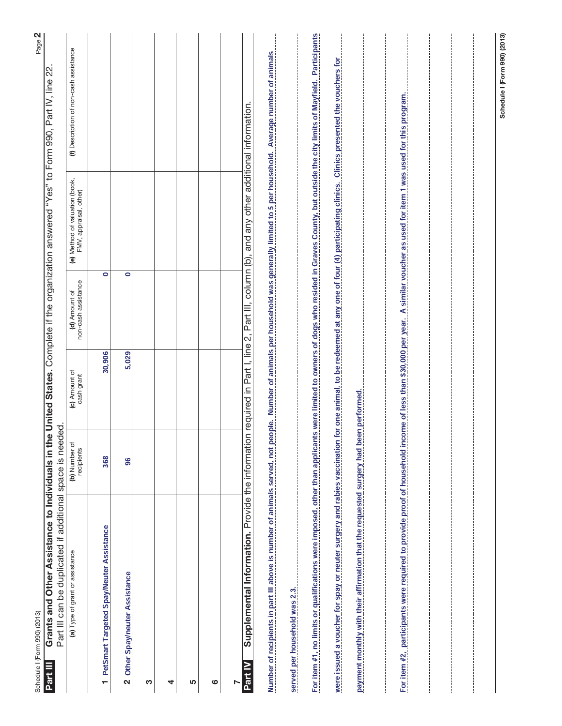| Schedule I (Form 990) (2013)                                                                                                                                                                                                                                                                                                                 |                             |                             |                                      |                                                          | Page 2                                                                                                          |
|----------------------------------------------------------------------------------------------------------------------------------------------------------------------------------------------------------------------------------------------------------------------------------------------------------------------------------------------|-----------------------------|-----------------------------|--------------------------------------|----------------------------------------------------------|-----------------------------------------------------------------------------------------------------------------|
| Part III can be duplicated if additional space is needed.<br>Grants and Other Assistance to Individuals in th<br>Part III                                                                                                                                                                                                                    |                             |                             |                                      |                                                          | e United States. Complete if the organization answered "Yes" to Form 990, Part IV, line 22.                     |
| (a) Type of grant or assistance                                                                                                                                                                                                                                                                                                              | (b) Number of<br>recipients | (c) Amount of<br>cash grant | non-cash assistance<br>(d) Amount of | (e) Method of valuation (book,<br>FMV, appraisal, other) | (f) Description of non-cash assistance                                                                          |
| 1 PetSmart Targeted Spay/Neuter Assistance                                                                                                                                                                                                                                                                                                   | 368                         | 30,906                      | $\bullet$                            |                                                          |                                                                                                                 |
| Other Spay/neuter Assistance<br>$\mathbf{\Omega}$                                                                                                                                                                                                                                                                                            | 96                          | 5,029                       | $\bullet$                            |                                                          |                                                                                                                 |
| ო                                                                                                                                                                                                                                                                                                                                            |                             |                             |                                      |                                                          |                                                                                                                 |
| 4                                                                                                                                                                                                                                                                                                                                            |                             |                             |                                      |                                                          |                                                                                                                 |
| 5                                                                                                                                                                                                                                                                                                                                            |                             |                             |                                      |                                                          |                                                                                                                 |
| ဖ                                                                                                                                                                                                                                                                                                                                            |                             |                             |                                      |                                                          |                                                                                                                 |
|                                                                                                                                                                                                                                                                                                                                              |                             |                             |                                      |                                                          |                                                                                                                 |
| Number of recipients in part III above is number of animals served, not people Number of animals per housebold was generally limited to 5 per housebold Average number of animals<br>Supplemental Information. Provide the information required in Part I, line 2, Part III, column (b), and any other additional information.<br>ក្ខ<br>ក្ន |                             |                             |                                      |                                                          |                                                                                                                 |
| served per household was 2.3.                                                                                                                                                                                                                                                                                                                |                             |                             |                                      |                                                          |                                                                                                                 |
| For item #1, no limits or qualifications were imposed, other than applicants were limited to owners of dogs who resided in Graves County, but outside the city limits of Mayfield. Participants                                                                                                                                              |                             |                             |                                      |                                                          |                                                                                                                 |
| were issued a voucher for spay or neuter surgery and rabies vaccination                                                                                                                                                                                                                                                                      |                             |                             |                                      |                                                          | for one animal, to be redeemed at any one of four (4) participating clinics. Clinics presented the vouchers for |
| payment monthly with their affirmation that the requested surgery had been performed.                                                                                                                                                                                                                                                        |                             |                             |                                      |                                                          |                                                                                                                 |
| For item #2, participants were required to provide proof of household income of less than \$30,000 per year. A similar voucher as used for item 1 was used for this program.                                                                                                                                                                 |                             |                             |                                      |                                                          |                                                                                                                 |
|                                                                                                                                                                                                                                                                                                                                              |                             |                             |                                      |                                                          |                                                                                                                 |
|                                                                                                                                                                                                                                                                                                                                              |                             |                             |                                      |                                                          | Schedule I (Form 990) (2013)                                                                                    |
|                                                                                                                                                                                                                                                                                                                                              |                             |                             |                                      |                                                          |                                                                                                                 |